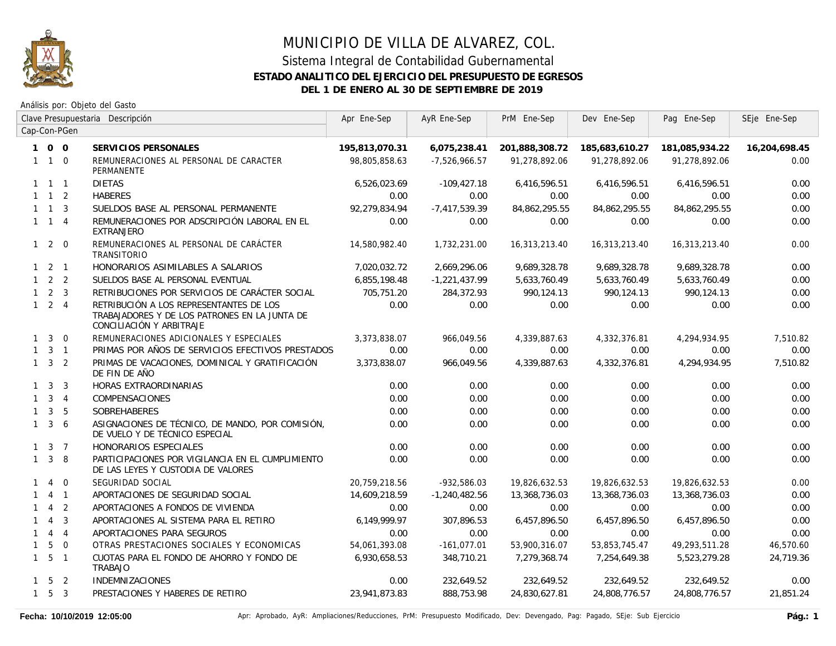

### Sistema Integral de Contabilidad Gubernamental **ESTADO ANALITICO DEL EJERCICIO DEL PRESUPUESTO DE EGRESOS DEL 1 DE ENERO AL 30 DE SEPTIEMBRE DE 2019**

|              |                     |                | Clave Presupuestaria Descripción                                                                                     | Apr Ene-Sep    | AyR Ene-Sep     | PrM Ene-Sep    | Dev Ene-Sep    | Pag Ene-Sep    | SEje Ene-Sep  |
|--------------|---------------------|----------------|----------------------------------------------------------------------------------------------------------------------|----------------|-----------------|----------------|----------------|----------------|---------------|
|              |                     | Cap-Con-PGen   |                                                                                                                      |                |                 |                |                |                |               |
|              | 100                 |                | SERVICIOS PERSONALES                                                                                                 | 195,813,070.31 | 6,075,238.41    | 201,888,308.72 | 185,683,610.27 | 181,085,934.22 | 16,204,698.45 |
|              | $1\quad1\quad0$     |                | REMUNERACIONES AL PERSONAL DE CARACTER<br>PERMANENTE                                                                 | 98,805,858.63  | $-7,526,966.57$ | 91,278,892.06  | 91,278,892.06  | 91,278,892.06  | 0.00          |
|              | $1 \quad 1 \quad 1$ |                | <b>DIETAS</b>                                                                                                        | 6,526,023.69   | $-109,427.18$   | 6,416,596.51   | 6,416,596.51   | 6,416,596.51   | 0.00          |
|              | $1 \quad 1 \quad 2$ |                | <b>HABERES</b>                                                                                                       | 0.00           | 0.00            | 0.00           | 0.00           | 0.00           | 0.00          |
|              | $1 \quad 1 \quad 3$ |                | SUELDOS BASE AL PERSONAL PERMANENTE                                                                                  | 92,279,834.94  | $-7,417,539.39$ | 84,862,295.55  | 84,862,295.55  | 84,862,295.55  | 0.00          |
|              | $1 \quad 1 \quad 4$ |                | REMUNERACIONES POR ADSCRIPCIÓN LABORAL EN EL<br>EXTRANJERO                                                           | 0.00           | 0.00            | 0.00           | 0.00           | 0.00           | 0.00          |
|              | $1 2 0$             |                | REMUNERACIONES AL PERSONAL DE CARÁCTER<br>TRANSITORIO                                                                | 14,580,982.40  | 1,732,231.00    | 16,313,213.40  | 16,313,213.40  | 16,313,213.40  | 0.00          |
|              | $1 \quad 2 \quad 1$ |                | HONORARIOS ASIMILABLES A SALARIOS                                                                                    | 7,020,032.72   | 2,669,296.06    | 9,689,328.78   | 9,689,328.78   | 9,689,328.78   | 0.00          |
|              | $1 \quad 2 \quad 2$ |                | SUELDOS BASE AL PERSONAL EVENTUAL                                                                                    | 6,855,198.48   | $-1,221,437.99$ | 5,633,760.49   | 5,633,760.49   | 5,633,760.49   | 0.00          |
|              | $1 \quad 2 \quad 3$ |                | RETRIBUCIONES POR SERVICIOS DE CARÁCTER SOCIAL                                                                       | 705,751.20     | 284,372.93      | 990.124.13     | 990,124.13     | 990.124.13     | 0.00          |
|              | $1 \quad 2 \quad 4$ |                | RETRIBUCIÓN A LOS REPRESENTANTES DE LOS<br>TRABAJADORES Y DE LOS PATRONES EN LA JUNTA DE<br>CONCILIACIÓN Y ARBITRAJE | 0.00           | 0.00            | 0.00           | 0.00           | 0.00           | 0.00          |
| $\mathbf{1}$ | $\overline{3}$      | $\overline{0}$ | REMUNERACIONES ADICIONALES Y ESPECIALES                                                                              | 3,373,838.07   | 966,049.56      | 4,339,887.63   | 4,332,376.81   | 4,294,934.95   | 7,510.82      |
| $\mathbf{1}$ |                     | 3 <sub>1</sub> | PRIMAS POR AÑOS DE SERVICIOS EFECTIVOS PRESTADOS                                                                     | 0.00           | 0.00            | 0.00           | 0.00           | 0.00           | 0.00          |
|              | $1 \quad 3 \quad 2$ |                | PRIMAS DE VACACIONES, DOMINICAL Y GRATIFICACIÓN<br>DE FIN DE AÑO                                                     | 3,373,838.07   | 966,049.56      | 4,339,887.63   | 4,332,376.81   | 4,294,934.95   | 7,510.82      |
|              | $1 \quad 3$         | $\overline{3}$ | HORAS EXTRAORDINARIAS                                                                                                | 0.00           | 0.00            | 0.00           | 0.00           | 0.00           | 0.00          |
|              | $1 \quad 3 \quad 4$ |                | COMPENSACIONES                                                                                                       | 0.00           | 0.00            | 0.00           | 0.00           | 0.00           | 0.00          |
| $\mathbf{1}$ |                     | 3 <sub>5</sub> | SOBREHABERES                                                                                                         | 0.00           | 0.00            | 0.00           | 0.00           | 0.00           | 0.00          |
| $\mathbf{1}$ | 3                   | 6              | ASIGNACIONES DE TÉCNICO, DE MANDO, POR COMISIÓN,<br>DE VUELO Y DE TÉCNICO ESPECIAL                                   | 0.00           | 0.00            | 0.00           | 0.00           | 0.00           | 0.00          |
|              | $1 \quad 3 \quad 7$ |                | HONORARIOS ESPECIALES                                                                                                | 0.00           | 0.00            | 0.00           | 0.00           | 0.00           | 0.00          |
|              | $1 \quad 3$         | 8              | PARTICIPACIONES POR VIGILANCIA EN EL CUMPLIMIENTO<br>DE LAS LEYES Y CUSTODIA DE VALORES                              | 0.00           | 0.00            | 0.00           | 0.00           | 0.00           | 0.00          |
| $\mathbf{1}$ | $\overline{4}$      | $\overline{0}$ | SEGURIDAD SOCIAL                                                                                                     | 20,759,218.56  | $-932,586.03$   | 19,826,632.53  | 19,826,632.53  | 19,826,632.53  | 0.00          |
| $\mathbf{1}$ |                     | 4 1            | APORTACIONES DE SEGURIDAD SOCIAL                                                                                     | 14,609,218.59  | $-1,240,482.56$ | 13,368,736.03  | 13,368,736.03  | 13,368,736.03  | 0.00          |
|              | $\overline{4}$      | 2              | APORTACIONES A FONDOS DE VIVIENDA                                                                                    | 0.00           | 0.00            | 0.00           | 0.00           | 0.00           | 0.00          |
|              | $\overline{4}$      | 3              | APORTACIONES AL SISTEMA PARA EL RETIRO                                                                               | 6,149,999.97   | 307,896.53      | 6,457,896.50   | 6,457,896.50   | 6,457,896.50   | 0.00          |
| $\mathbf{1}$ |                     | $4 \quad 4$    | APORTACIONES PARA SEGUROS                                                                                            | 0.00           | 0.00            | 0.00           | 0.00           | 0.00           | 0.00          |
| $\mathbf{1}$ | 5                   | $\overline{0}$ | OTRAS PRESTACIONES SOCIALES Y ECONOMICAS                                                                             | 54,061,393.08  | $-161,077.01$   | 53,900,316.07  | 53,853,745.47  | 49,293,511.28  | 46,570.60     |
|              | $1\quad 5\quad 1$   |                | CUOTAS PARA EL FONDO DE AHORRO Y FONDO DE<br><b>TRABAJO</b>                                                          | 6,930,658.53   | 348,710.21      | 7,279,368.74   | 7,254,649.38   | 5,523,279.28   | 24,719.36     |
|              | $1\quad 5\quad 2$   |                | <b>INDEMNIZACIONES</b>                                                                                               | 0.00           | 232,649.52      | 232,649.52     | 232,649.52     | 232,649.52     | 0.00          |
|              | $1\quad 5\quad 3$   |                | PRESTACIONES Y HABERES DE RETIRO                                                                                     | 23,941,873.83  | 888,753.98      | 24,830,627.81  | 24,808,776.57  | 24,808,776.57  | 21,851.24     |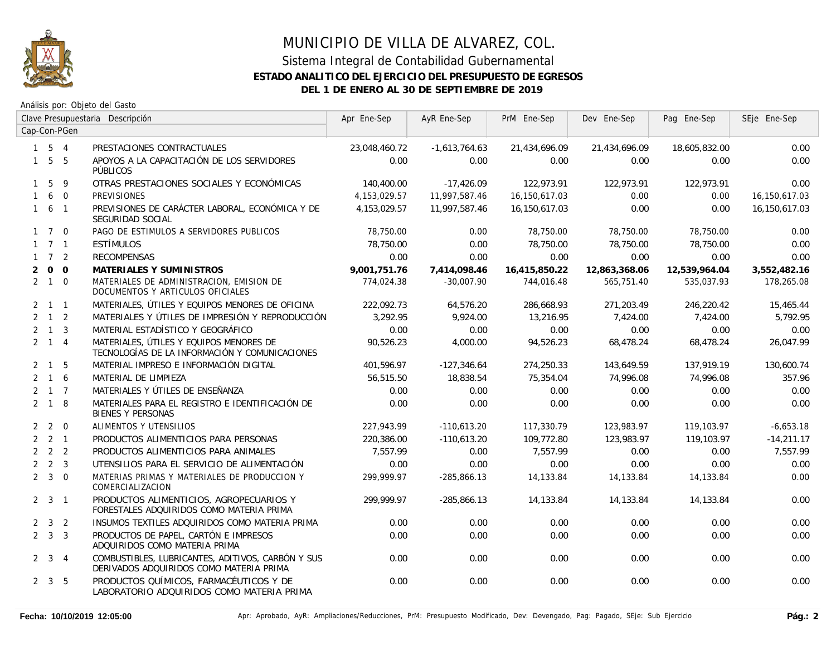

### Sistema Integral de Contabilidad Gubernamental **ESTADO ANALITICO DEL EJERCICIO DEL PRESUPUESTO DE EGRESOS DEL 1 DE ENERO AL 30 DE SEPTIEMBRE DE 2019**

|                |                     |                | Clave Presupuestaria Descripción                                                             | Apr Ene-Sep   | AyR Ene-Sep     | PrM Ene-Sep   | Dev Ene-Sep   | Pag Ene-Sep   | SEje Ene-Sep  |
|----------------|---------------------|----------------|----------------------------------------------------------------------------------------------|---------------|-----------------|---------------|---------------|---------------|---------------|
|                |                     | Cap-Con-PGen   |                                                                                              |               |                 |               |               |               |               |
|                | $1 \quad 5 \quad 4$ |                | PRESTACIONES CONTRACTUALES                                                                   | 23,048,460.72 | $-1,613,764.63$ | 21,434,696.09 | 21,434,696.09 | 18,605,832.00 | 0.00          |
|                | $1\quad5\quad5$     |                | APOYOS A LA CAPACITACIÓN DE LOS SERVIDORES<br>PÚBLICOS                                       | 0.00          | 0.00            | 0.00          | 0.00          | 0.00          | 0.00          |
|                | $1\quad5$           | 9              | OTRAS PRESTACIONES SOCIALES Y ECONÓMICAS                                                     | 140,400.00    | $-17,426.09$    | 122,973.91    | 122,973.91    | 122,973.91    | 0.00          |
|                | 160                 |                | <b>PREVISIONES</b>                                                                           | 4,153,029.57  | 11,997,587.46   | 16,150,617.03 | 0.00          | 0.00          | 16,150,617.03 |
|                | $1\quad 6\quad 1$   |                | PREVISIONES DE CARÁCTER LABORAL, ECONÓMICA Y DE<br>SEGURIDAD SOCIAL                          | 4.153.029.57  | 11,997,587.46   | 16.150.617.03 | 0.00          | 0.00          | 16,150,617.03 |
|                | $1 \quad 7 \quad 0$ |                | PAGO DE ESTIMULOS A SERVIDORES PUBLICOS                                                      | 78,750.00     | 0.00            | 78,750.00     | 78,750.00     | 78,750.00     | 0.00          |
|                | $1 \quad 7 \quad 1$ |                | ESTÍMULOS                                                                                    | 78,750.00     | 0.00            | 78,750.00     | 78,750.00     | 78,750.00     | 0.00          |
|                | $1 \quad 7 \quad 2$ |                | <b>RECOMPENSAS</b>                                                                           | 0.00          | 0.00            | 0.00          | 0.00          | 0.00          | 0.00          |
| $\overline{2}$ | $\overline{0}$      | $\overline{O}$ | MATERIALES Y SUMINISTROS                                                                     | 9,001,751.76  | 7,414,098.46    | 16,415,850.22 | 12,863,368.06 | 12,539,964.04 | 3,552,482.16  |
|                | $2 \quad 1 \quad 0$ |                | MATERIALES DE ADMINISTRACION, EMISION DE<br>DOCUMENTOS Y ARTICULOS OFICIALES                 | 774.024.38    | $-30.007.90$    | 744.016.48    | 565,751.40    | 535,037.93    | 178,265.08    |
|                | $2 \quad 1 \quad 1$ |                | MATERIALES, ÚTILES Y EQUIPOS MENORES DE OFICINA                                              | 222,092.73    | 64,576.20       | 286,668.93    | 271,203.49    | 246,220.42    | 15,465.44     |
|                | $2 \quad 1 \quad 2$ |                | MATERIALES Y ÚTILES DE IMPRESIÓN Y REPRODUCCIÓN                                              | 3,292.95      | 9,924.00        | 13,216.95     | 7,424.00      | 7,424.00      | 5,792.95      |
|                | $2 \quad 1 \quad 3$ |                | MATERIAL ESTADÍSTICO Y GEOGRÁFICO                                                            | 0.00          | 0.00            | 0.00          | 0.00          | 0.00          | 0.00          |
|                | $2 \quad 1 \quad 4$ |                | MATERIALES, ÚTILES Y EQUIPOS MENORES DE<br>TECNOLOGÍAS DE LA INFORMACIÓN Y COMUNICACIONES    | 90,526.23     | 4,000.00        | 94,526.23     | 68,478.24     | 68,478.24     | 26,047.99     |
|                | $2 \quad 1 \quad 5$ |                | MATERIAL IMPRESO E INFORMACIÓN DIGITAL                                                       | 401.596.97    | $-127,346.64$   | 274,250.33    | 143,649.59    | 137,919.19    | 130,600.74    |
|                | $2 \quad 1 \quad 6$ |                | MATERIAL DE LIMPIEZA                                                                         | 56,515.50     | 18,838.54       | 75,354.04     | 74,996.08     | 74,996.08     | 357.96        |
|                | $2 \t1 \t7$         |                | MATERIALES Y ÚTILES DE ENSEÑANZA                                                             | 0.00          | 0.00            | 0.00          | 0.00          | 0.00          | 0.00          |
|                | $2 \quad 1 \quad 8$ |                | MATERIALES PARA EL REGISTRO E IDENTIFICACIÓN DE<br><b>BIENES Y PERSONAS</b>                  | 0.00          | 0.00            | 0.00          | 0.00          | 0.00          | 0.00          |
|                | $2 \quad 2 \quad 0$ |                | ALIMENTOS Y UTENSILIOS                                                                       | 227,943.99    | $-110,613.20$   | 117,330.79    | 123,983.97    | 119,103.97    | $-6,653.18$   |
|                | $2 \quad 2 \quad 1$ |                | PRODUCTOS ALIMENTICIOS PARA PERSONAS                                                         | 220,386.00    | $-110,613.20$   | 109,772.80    | 123,983.97    | 119,103.97    | $-14,211.17$  |
|                | $2 \quad 2 \quad 2$ |                | PRODUCTOS ALIMENTICIOS PARA ANIMALES                                                         | 7.557.99      | 0.00            | 7.557.99      | 0.00          | 0.00          | 7,557.99      |
|                | $2\quad 2\quad 3$   |                | UTENSILIOS PARA EL SERVICIO DE ALIMENTACIÓN                                                  | 0.00          | 0.00            | 0.00          | 0.00          | 0.00          | 0.00          |
|                | $2 \quad 3 \quad 0$ |                | MATERIAS PRIMAS Y MATERIALES DE PRODUCCION Y<br>COMERCIALIZACION                             | 299,999.97    | $-285,866.13$   | 14,133.84     | 14,133.84     | 14,133.84     | 0.00          |
|                | $2 \quad 3 \quad 1$ |                | PRODUCTOS ALIMENTICIOS, AGROPECUARIOS Y<br>FORESTALES ADQUIRIDOS COMO MATERIA PRIMA          | 299,999.97    | $-285,866.13$   | 14,133.84     | 14,133.84     | 14,133.84     | 0.00          |
|                | $2 \quad 3 \quad 2$ |                | INSUMOS TEXTILES ADQUIRIDOS COMO MATERIA PRIMA                                               | 0.00          | 0.00            | 0.00          | 0.00          | 0.00          | 0.00          |
|                | $2 \quad 3 \quad 3$ |                | PRODUCTOS DE PAPEL, CARTÓN E IMPRESOS<br>ADQUIRIDOS COMO MATERIA PRIMA                       | 0.00          | 0.00            | 0.00          | 0.00          | 0.00          | 0.00          |
|                | $2 \quad 3 \quad 4$ |                | COMBUSTIBLES, LUBRICANTES, ADITIVOS, CARBÓN Y SUS<br>DERIVADOS ADQUIRIDOS COMO MATERIA PRIMA | 0.00          | 0.00            | 0.00          | 0.00          | 0.00          | 0.00          |
|                | $2 \quad 3 \quad 5$ |                | PRODUCTOS QUÍMICOS, FARMACÉUTICOS Y DE<br>LABORATORIO ADQUIRIDOS COMO MATERIA PRIMA          | 0.00          | 0.00            | 0.00          | 0.00          | 0.00          | 0.00          |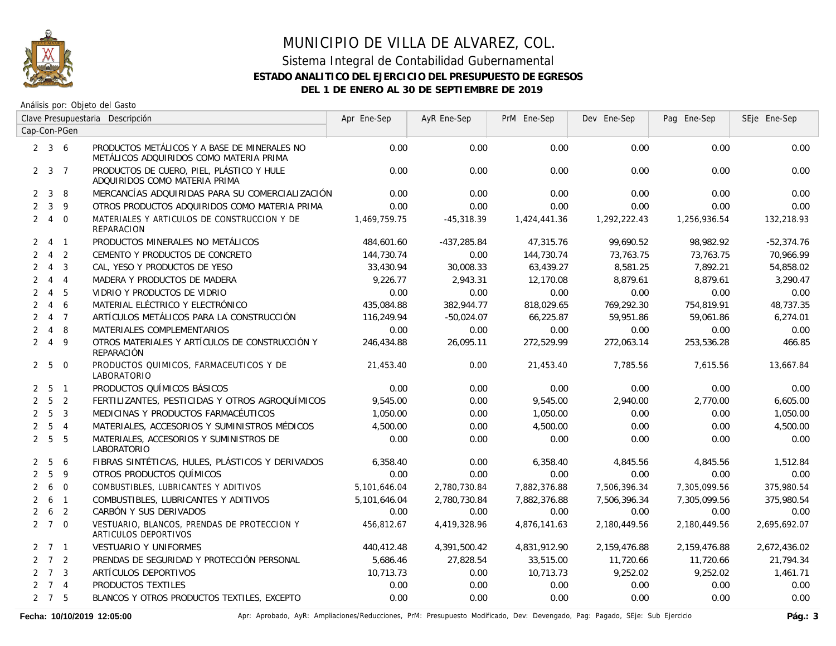

Análisis por: Objeto del Gasto

|                | Clave Presupuestaria Descripción |                         | Apr Ene-Sep                                                                             | AyR Ene-Sep  | PrM Ene-Sep  | Dev Ene-Sep  | Pag Ene-Sep  | SEje Ene-Sep |              |
|----------------|----------------------------------|-------------------------|-----------------------------------------------------------------------------------------|--------------|--------------|--------------|--------------|--------------|--------------|
|                |                                  | Cap-Con-PGen            |                                                                                         |              |              |              |              |              |              |
|                | $2 \quad 3 \quad 6$              |                         | PRODUCTOS METÁLICOS Y A BASE DE MINERALES NO<br>METÁLICOS ADQUIRIDOS COMO MATERIA PRIMA | 0.00         | 0.00         | 0.00         | 0.00         | 0.00         | 0.00         |
|                | $2 \quad 3 \quad 7$              |                         | PRODUCTOS DE CUERO, PIEL, PLÁSTICO Y HULE<br>ADQUIRIDOS COMO MATERIA PRIMA              | 0.00         | 0.00         | 0.00         | 0.00         | 0.00         | 0.00         |
| $\mathbf{2}$   | $\mathbf{3}$                     | -8                      | MERCANCÍAS ADQUIRIDAS PARA SU COMERCIALIZACIÓN                                          | 0.00         | 0.00         | 0.00         | 0.00         | 0.00         | 0.00         |
| $\overline{2}$ | $\mathbf{3}$                     | 9                       | OTROS PRODUCTOS ADQUIRIDOS COMO MATERIA PRIMA                                           | 0.00         | 0.00         | 0.00         | 0.00         | 0.00         | 0.00         |
|                | 240                              |                         | MATERIALES Y ARTICULOS DE CONSTRUCCION Y DE<br><b>REPARACION</b>                        | 1,469,759.75 | $-45,318.39$ | 1,424,441.36 | 1,292,222.43 | 1,256,936.54 | 132,218.93   |
|                | $2 \t 4 \t 1$                    |                         | PRODUCTOS MINERALES NO METÁLICOS                                                        | 484,601.60   | -437,285.84  | 47,315.76    | 99,690.52    | 98,982.92    | $-52,374.76$ |
| $\overline{2}$ | $\overline{4}$                   | $\overline{2}$          | CEMENTO Y PRODUCTOS DE CONCRETO                                                         | 144,730.74   | 0.00         | 144,730.74   | 73,763.75    | 73,763.75    | 70,966.99    |
| $\overline{2}$ | $\overline{4}$                   | $\overline{\mathbf{3}}$ | CAL, YESO Y PRODUCTOS DE YESO                                                           | 33,430.94    | 30,008.33    | 63,439.27    | 8,581.25     | 7,892.21     | 54,858.02    |
| $\overline{2}$ | $\overline{4}$                   | $\overline{4}$          | MADERA Y PRODUCTOS DE MADERA                                                            | 9,226.77     | 2,943.31     | 12,170.08    | 8,879.61     | 8,879.61     | 3,290.47     |
| $\overline{2}$ |                                  | 4 5                     | VIDRIO Y PRODUCTOS DE VIDRIO                                                            | 0.00         | 0.00         | 0.00         | 0.00         | 0.00         | 0.00         |
| $\overline{2}$ | $\overline{4}$                   | 6                       | MATERIAL ELÉCTRICO Y ELECTRÓNICO                                                        | 435,084.88   | 382,944.77   | 818,029.65   | 769,292.30   | 754,819.91   | 48,737.35    |
| $\overline{2}$ |                                  | 4 <sub>7</sub>          | ARTÍCULOS METÁLICOS PARA LA CONSTRUCCIÓN                                                | 116,249.94   | $-50,024.07$ | 66,225.87    | 59,951.86    | 59,061.86    | 6,274.01     |
|                | 248                              |                         | MATERIALES COMPLEMENTARIOS                                                              | 0.00         | 0.00         | 0.00         | 0.00         | 0.00         | 0.00         |
|                | 249                              |                         | OTROS MATERIALES Y ARTÍCULOS DE CONSTRUCCIÓN Y<br>REPARACIÓN                            | 246,434.88   | 26,095.11    | 272,529.99   | 272,063.14   | 253,536.28   | 466.85       |
|                | 2 <sub>5</sub>                   | $\overline{0}$          | PRODUCTOS QUIMICOS, FARMACEUTICOS Y DE<br>LABORATORIO                                   | 21,453.40    | 0.00         | 21,453.40    | 7,785.56     | 7,615.56     | 13,667.84    |
|                | $2\quad 5\quad 1$                |                         | PRODUCTOS QUÍMICOS BÁSICOS                                                              | 0.00         | 0.00         | 0.00         | 0.00         | 0.00         | 0.00         |
|                | 2 <sub>5</sub>                   | $\overline{2}$          | FERTILIZANTES, PESTICIDAS Y OTROS AGROQUÍMICOS                                          | 9,545.00     | 0.00         | 9,545.00     | 2,940.00     | 2,770.00     | 6,605.00     |
|                | 2 <sub>5</sub>                   | $\overline{3}$          | MEDICINAS Y PRODUCTOS FARMACÉUTICOS                                                     | 1,050.00     | 0.00         | 1,050.00     | 0.00         | 0.00         | 1,050.00     |
|                | 2 <sub>5</sub>                   | $\overline{4}$          | MATERIALES, ACCESORIOS Y SUMINISTROS MÉDICOS                                            | 4,500.00     | 0.00         | 4,500.00     | 0.00         | 0.00         | 4,500.00     |
|                | $2\quad 5\quad 5$                |                         | MATERIALES, ACCESORIOS Y SUMINISTROS DE<br>LABORATORIO                                  | 0.00         | 0.00         | 0.00         | 0.00         | 0.00         | 0.00         |
|                | 2 <sub>5</sub>                   | -6                      | FIBRAS SINTÉTICAS, HULES, PLÁSTICOS Y DERIVADOS                                         | 6,358.40     | 0.00         | 6,358.40     | 4,845.56     | 4,845.56     | 1,512.84     |
| $\overline{2}$ | 5                                | - 9                     | OTROS PRODUCTOS QUÍMICOS                                                                | 0.00         | 0.00         | 0.00         | 0.00         | 0.00         | 0.00         |
| $\overline{2}$ | 6                                | $\overline{0}$          | COMBUSTIBLES, LUBRICANTES Y ADITIVOS                                                    | 5,101,646.04 | 2,780,730.84 | 7,882,376.88 | 7,506,396.34 | 7,305,099.56 | 375,980.54   |
| $\overline{2}$ | 6                                | $\overline{1}$          | COMBUSTIBLES, LUBRICANTES Y ADITIVOS                                                    | 5,101,646.04 | 2,780,730.84 | 7,882,376.88 | 7,506,396.34 | 7,305,099.56 | 375,980.54   |
|                | $2\quad 6\quad 2$                |                         | CARBÓN Y SUS DERIVADOS                                                                  | 0.00         | 0.00         | 0.00         | 0.00         | 0.00         | 0.00         |
|                | $2 \t7 \t0$                      |                         | VESTUARIO, BLANCOS, PRENDAS DE PROTECCION Y<br>ARTICULOS DEPORTIVOS                     | 456,812.67   | 4,419,328.96 | 4,876,141.63 | 2,180,449.56 | 2,180,449.56 | 2,695,692.07 |
|                | $2 \quad 7 \quad 1$              |                         | <b>VESTUARIO Y UNIFORMES</b>                                                            | 440,412.48   | 4,391,500.42 | 4,831,912.90 | 2,159,476.88 | 2,159,476.88 | 2,672,436.02 |
|                | $2 \quad 7 \quad 2$              |                         | PRENDAS DE SEGURIDAD Y PROTECCIÓN PERSONAL                                              | 5,686.46     | 27,828.54    | 33,515.00    | 11,720.66    | 11,720.66    | 21,794.34    |
|                | $2 \quad 7 \quad 3$              |                         | ARTÍCULOS DEPORTIVOS                                                                    | 10,713.73    | 0.00         | 10,713.73    | 9,252.02     | 9,252.02     | 1,461.71     |
|                | $2 \t 7 \t 4$                    |                         | PRODUCTOS TEXTILES                                                                      | 0.00         | 0.00         | 0.00         | 0.00         | 0.00         | 0.00         |
|                | $2 \quad 7 \quad 5$              |                         | BLANCOS Y OTROS PRODUCTOS TEXTILES, EXCEPTO                                             | 0.00         | 0.00         | 0.00         | 0.00         | 0.00         | 0.00         |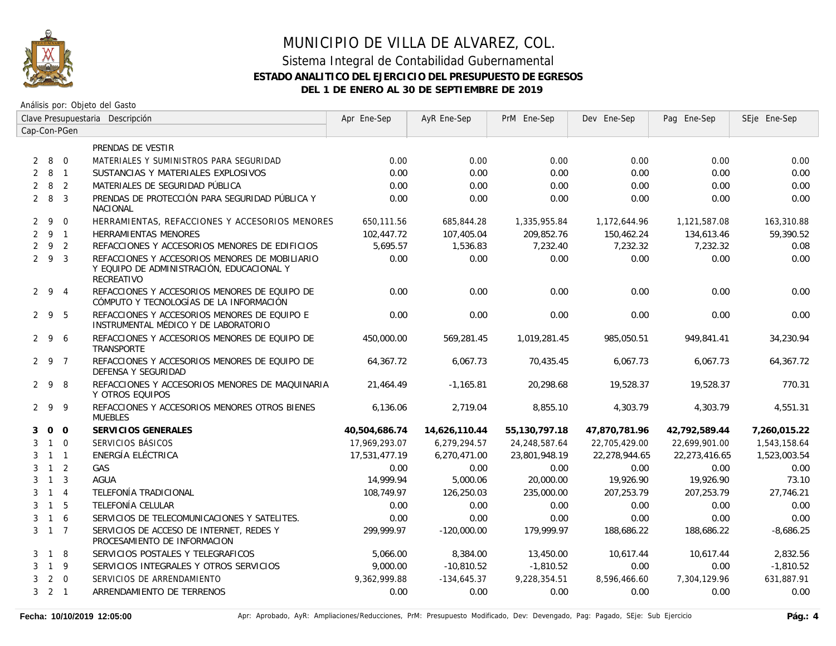

# MUNICIPIO DE VILLA DE ALVAREZ, COL. Sistema Integral de Contabilidad Gubernamental

## **ESTADO ANALITICO DEL EJERCICIO DEL PRESUPUESTO DE EGRESOS**

**DEL 1 DE ENERO AL 30 DE SEPTIEMBRE DE 2019**

|                | Clave Presupuestaria Descripción |                |                                                                                                           | Apr Ene-Sep   | AyR Ene-Sep   | PrM Ene-Sep   | Dev Ene-Sep   | Pag Ene-Sep   | SEje Ene-Sep |
|----------------|----------------------------------|----------------|-----------------------------------------------------------------------------------------------------------|---------------|---------------|---------------|---------------|---------------|--------------|
|                |                                  | Cap-Con-PGen   |                                                                                                           |               |               |               |               |               |              |
|                |                                  |                | PRENDAS DE VESTIR                                                                                         |               |               |               |               |               |              |
| $\overline{2}$ | 8 0                              |                | MATERIALES Y SUMINISTROS PARA SEGURIDAD                                                                   | 0.00          | 0.00          | 0.00          | 0.00          | 0.00          | 0.00         |
| 2              | 8 1                              |                | SUSTANCIAS Y MATERIALES EXPLOSIVOS                                                                        | 0.00          | 0.00          | 0.00          | 0.00          | 0.00          | 0.00         |
|                | $2 \quad 8$                      | $\overline{2}$ | MATERIALES DE SEGURIDAD PÚBLICA                                                                           | 0.00          | 0.00          | 0.00          | 0.00          | 0.00          | 0.00         |
|                | $2 \quad 8$                      | $\overline{3}$ | PRENDAS DE PROTECCIÓN PARA SEGURIDAD PÚBLICA Y<br><b>NACIONAL</b>                                         | 0.00          | 0.00          | 0.00          | 0.00          | 0.00          | 0.00         |
|                | $2 \quad 9$                      | $\overline{0}$ | HERRAMIENTAS, REFACCIONES Y ACCESORIOS MENORES                                                            | 650,111.56    | 685,844.28    | 1,335,955.84  | 1,172,644.96  | 1,121,587.08  | 163,310.88   |
|                | $2 \quad 9 \quad 1$              |                | HERRAMIENTAS MENORES                                                                                      | 102,447.72    | 107,405.04    | 209,852.76    | 150,462.24    | 134,613.46    | 59,390.52    |
| $\overline{2}$ | 9 2                              |                | REFACCIONES Y ACCESORIOS MENORES DE EDIFICIOS                                                             | 5,695.57      | 1,536.83      | 7,232.40      | 7,232.32      | 7,232.32      | 0.08         |
|                | 293                              |                | REFACCIONES Y ACCESORIOS MENORES DE MOBILIARIO<br>Y EQUIPO DE ADMINISTRACIÓN, EDUCACIONAL Y<br>RECREATIVO | 0.00          | 0.00          | 0.00          | 0.00          | 0.00          | 0.00         |
|                | $2 \t 9 \t 4$                    |                | REFACCIONES Y ACCESORIOS MENORES DE EQUIPO DE<br>CÓMPUTO Y TECNOLOGÍAS DE LA INFORMACIÓN                  | 0.00          | 0.00          | 0.00          | 0.00          | 0.00          | 0.00         |
|                | 295                              |                | REFACCIONES Y ACCESORIOS MENORES DE EQUIPO E<br>INSTRUMENTAL MÉDICO Y DE LABORATORIO                      | 0.00          | 0.00          | 0.00          | 0.00          | 0.00          | 0.00         |
|                | $2 \quad 9 \quad 6$              |                | REFACCIONES Y ACCESORIOS MENORES DE EQUIPO DE<br>TRANSPORTE                                               | 450,000.00    | 569,281.45    | 1,019,281.45  | 985,050.51    | 949,841.41    | 34,230.94    |
|                | $2 \quad 9 \quad 7$              |                | REFACCIONES Y ACCESORIOS MENORES DE EQUIPO DE<br>DEFENSA Y SEGURIDAD                                      | 64,367.72     | 6,067.73      | 70,435.45     | 6,067.73      | 6,067.73      | 64,367.72    |
|                | 298                              |                | REFACCIONES Y ACCESORIOS MENORES DE MAQUINARIA<br>Y OTROS EQUIPOS                                         | 21,464.49     | $-1.165.81$   | 20,298.68     | 19,528.37     | 19,528.37     | 770.31       |
|                | 299                              |                | REFACCIONES Y ACCESORIOS MENORES OTROS BIENES<br><b>MUEBLES</b>                                           | 6,136.06      | 2,719.04      | 8,855.10      | 4,303.79      | 4,303.79      | 4,551.31     |
| 3              |                                  | $0\quad 0$     | SERVICIOS GENERALES                                                                                       | 40,504,686.74 | 14,626,110.44 | 55,130,797.18 | 47,870,781.96 | 42,792,589.44 | 7,260,015.22 |
| 3              | $1 \quad 0$                      |                | SERVICIOS BÁSICOS                                                                                         | 17,969,293.07 | 6,279,294.57  | 24,248,587.64 | 22,705,429.00 | 22,699,901.00 | 1,543,158.64 |
| 3              | $1\quad1$                        |                | ENERGÍA ELÉCTRICA                                                                                         | 17,531,477.19 | 6,270,471.00  | 23,801,948.19 | 22,278,944.65 | 22,273,416.65 | 1,523,003.54 |
| 3              | $1\quad 2$                       |                | GAS                                                                                                       | 0.00          | 0.00          | 0.00          | 0.00          | 0.00          | 0.00         |
| 3              | $1 \quad 3$                      |                | <b>AGUA</b>                                                                                               | 14,999.94     | 5,000.06      | 20,000.00     | 19,926.90     | 19,926.90     | 73.10        |
| 3              |                                  | $1 \quad 4$    | TELEFONÍA TRADICIONAL                                                                                     | 108,749.97    | 126,250.03    | 235,000.00    | 207.253.79    | 207.253.79    | 27,746.21    |
| 3              | $\overline{1}$                   | -5             | TELEFONÍA CELULAR                                                                                         | 0.00          | 0.00          | 0.00          | 0.00          | 0.00          | 0.00         |
| 3              | $\overline{1}$                   | 6              | SERVICIOS DE TELECOMUNICACIONES Y SATELITES.                                                              | 0.00          | 0.00          | 0.00          | 0.00          | 0.00          | 0.00         |
|                | $3 \quad 1 \quad 7$              |                | SERVICIOS DE ACCESO DE INTERNET. REDES Y<br>PROCESAMIENTO DE INFORMACION                                  | 299.999.97    | $-120.000.00$ | 179,999.97    | 188,686.22    | 188,686.22    | $-8,686.25$  |
| 3              | $\overline{1}$                   | -8             | SERVICIOS POSTALES Y TELEGRAFICOS                                                                         | 5,066.00      | 8,384.00      | 13,450.00     | 10,617.44     | 10,617.44     | 2,832.56     |
| 3              | $\overline{1}$                   | 9              | SERVICIOS INTEGRALES Y OTROS SERVICIOS                                                                    | 9,000.00      | $-10,810.52$  | $-1,810.52$   | 0.00          | 0.00          | $-1,810.52$  |
| 3              |                                  | $2 \quad 0$    | SERVICIOS DE ARRENDAMIENTO                                                                                | 9,362,999.88  | $-134,645.37$ | 9,228,354.51  | 8,596,466.60  | 7,304,129.96  | 631,887.91   |
|                | $3 \quad 2 \quad 1$              |                | ARRENDAMIENTO DE TERRENOS                                                                                 | 0.00          | 0.00          | 0.00          | 0.00          | 0.00          | 0.00         |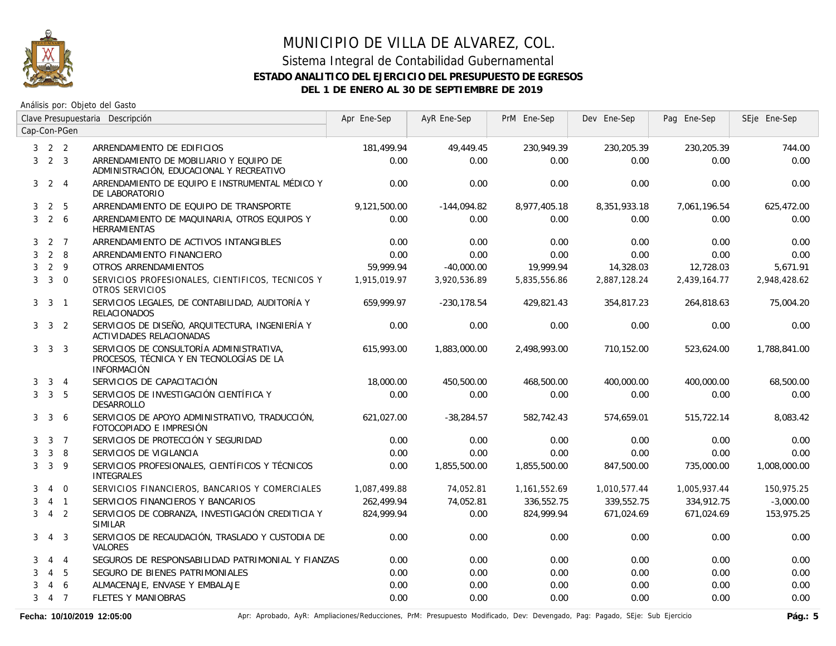

### Sistema Integral de Contabilidad Gubernamental **ESTADO ANALITICO DEL EJERCICIO DEL PRESUPUESTO DE EGRESOS DEL 1 DE ENERO AL 30 DE SEPTIEMBRE DE 2019**

Análisis por: Objeto del Gasto

|              | Clave Presupuestaria Descripción |                  | Apr Ene-Sep                                                                                                | AyR Ene-Sep  | PrM Ene-Sep    | Dev Ene-Sep  | Pag Ene-Sep  | SEje Ene-Sep |              |
|--------------|----------------------------------|------------------|------------------------------------------------------------------------------------------------------------|--------------|----------------|--------------|--------------|--------------|--------------|
|              |                                  | Cap-Con-PGen     |                                                                                                            |              |                |              |              |              |              |
|              | $3 \quad 2 \quad 2$              |                  | ARRENDAMIENTO DE EDIFICIOS                                                                                 | 181,499.94   | 49,449.45      | 230,949.39   | 230,205.39   | 230,205.39   | 744.00       |
| 3            |                                  | $2 \quad 3$      | ARRENDAMIENTO DE MOBILIARIO Y EQUIPO DE<br>ADMINISTRACIÓN, EDUCACIONAL Y RECREATIVO                        | 0.00         | 0.00           | 0.00         | 0.00         | 0.00         | 0.00         |
| 3            |                                  | $2 \quad 4$      | ARRENDAMIENTO DE EQUIPO E INSTRUMENTAL MÉDICO Y<br>DE LABORATORIO                                          | 0.00         | 0.00           | 0.00         | 0.00         | 0.00         | 0.00         |
| 3            | $\overline{2}$                   | 5                | ARRENDAMIENTO DE EQUIPO DE TRANSPORTE                                                                      | 9,121,500.00 | $-144,094.82$  | 8,977,405.18 | 8,351,933.18 | 7,061,196.54 | 625,472.00   |
| 3            | $2\overline{6}$                  |                  | ARRENDAMIENTO DE MAQUINARIA, OTROS EQUIPOS Y<br><b>HERRAMIENTAS</b>                                        | 0.00         | 0.00           | 0.00         | 0.00         | 0.00         | 0.00         |
|              | $3 \quad 2 \quad 7$              |                  | ARRENDAMIENTO DE ACTIVOS INTANGIBLES                                                                       | 0.00         | 0.00           | 0.00         | 0.00         | 0.00         | 0.00         |
| 3            | $\overline{2}$                   | 8                | ARRENDAMIENTO FINANCIERO                                                                                   | 0.00         | 0.00           | 0.00         | 0.00         | 0.00         | 0.00         |
| 3            |                                  | $2 \quad 9$      | OTROS ARRENDAMIENTOS                                                                                       | 59.999.94    | $-40.000.00$   | 19,999.94    | 14,328.03    | 12,728.03    | 5.671.91     |
| 3            | $3 \quad 0$                      |                  | SERVICIOS PROFESIONALES, CIENTIFICOS, TECNICOS Y<br>OTROS SERVICIOS                                        | 1.915.019.97 | 3,920,536.89   | 5,835,556.86 | 2,887,128.24 | 2,439,164.77 | 2,948,428.62 |
|              | 3 <sup>3</sup>                   | $\overline{1}$   | SERVICIOS LEGALES, DE CONTABILIDAD, AUDITORÍA Y<br><b>RELACIONADOS</b>                                     | 659.999.97   | $-230, 178.54$ | 429,821.43   | 354,817.23   | 264,818.63   | 75,004.20    |
|              | $3 \quad 3 \quad 2$              |                  | SERVICIOS DE DISEÑO, ARQUITECTURA, INGENIERÍA Y<br>ACTIVIDADES RELACIONADAS                                | 0.00         | 0.00           | 0.00         | 0.00         | 0.00         | 0.00         |
|              | $3 \quad 3 \quad 3$              |                  | SERVICIOS DE CONSULTORÍA ADMINISTRATIVA,<br>PROCESOS, TÉCNICA Y EN TECNOLOGÍAS DE LA<br><b>INFORMACIÓN</b> | 615,993.00   | 1,883,000.00   | 2,498,993.00 | 710,152.00   | 523,624.00   | 1,788,841.00 |
| 3            |                                  | $3 \quad 4$      | SERVICIOS DE CAPACITACIÓN                                                                                  | 18,000.00    | 450,500.00     | 468,500.00   | 400,000.00   | 400,000.00   | 68,500.00    |
| 3            | 3 <sub>5</sub>                   |                  | SERVICIOS DE INVESTIGACIÓN CIENTÍFICA Y<br>DESARROLLO                                                      | 0.00         | 0.00           | 0.00         | 0.00         | 0.00         | 0.00         |
| 3            | $\mathbf{3}$                     | 6                | SERVICIOS DE APOYO ADMINISTRATIVO, TRADUCCIÓN,<br>FOTOCOPIADO E IMPRESIÓN                                  | 621,027.00   | $-38,284.57$   | 582,742.43   | 574,659.01   | 515,722.14   | 8,083.42     |
| 3            |                                  | $3 \overline{7}$ | SERVICIOS DE PROTECCIÓN Y SEGURIDAD                                                                        | 0.00         | 0.00           | 0.00         | 0.00         | 0.00         | 0.00         |
| 3            | 3                                | 8                | SERVICIOS DE VIGILANCIA                                                                                    | 0.00         | 0.00           | 0.00         | 0.00         | 0.00         | 0.00         |
| 3            | $\mathbf{3}$                     | 9                | SERVICIOS PROFESIONALES, CIENTÍFICOS Y TÉCNICOS<br><b>INTEGRALES</b>                                       | 0.00         | 1,855,500.00   | 1,855,500.00 | 847,500.00   | 735,000.00   | 1,008,000.00 |
| 3            | 4                                | $\overline{0}$   | SERVICIOS FINANCIEROS, BANCARIOS Y COMERCIALES                                                             | 1,087,499.88 | 74,052.81      | 1,161,552.69 | 1,010,577.44 | 1,005,937.44 | 150,975.25   |
| 3            |                                  | $4 \quad 1$      | SERVICIOS FINANCIEROS Y BANCARIOS                                                                          | 262,499.94   | 74,052.81      | 336,552.75   | 339,552.75   | 334,912.75   | $-3,000.00$  |
| $\mathbf{3}$ |                                  | 4 <sup>2</sup>   | SERVICIOS DE COBRANZA, INVESTIGACIÓN CREDITICIA Y<br><b>SIMILAR</b>                                        | 824,999.94   | 0.00           | 824,999.94   | 671,024.69   | 671,024.69   | 153,975.25   |
| 3            |                                  | 4 3              | SERVICIOS DE RECAUDACIÓN, TRASLADO Y CUSTODIA DE<br>VALORES                                                | 0.00         | 0.00           | 0.00         | 0.00         | 0.00         | 0.00         |
| 3            |                                  | $4 \quad 4$      | SEGUROS DE RESPONSABILIDAD PATRIMONIAL Y FIANZAS                                                           | 0.00         | 0.00           | 0.00         | 0.00         | 0.00         | 0.00         |
| 3            | $\overline{4}$                   | 5                | SEGURO DE BIENES PATRIMONIALES                                                                             | 0.00         | 0.00           | 0.00         | 0.00         | 0.00         | 0.00         |
| 3            | $\overline{4}$                   | 6                | ALMACENAJE, ENVASE Y EMBALAJE                                                                              | 0.00         | 0.00           | 0.00         | 0.00         | 0.00         | 0.00         |
| 3            | $4 \overline{7}$                 |                  | <b>FLETES Y MANIOBRAS</b>                                                                                  | 0.00         | 0.00           | 0.00         | 0.00         | 0.00         | 0.00         |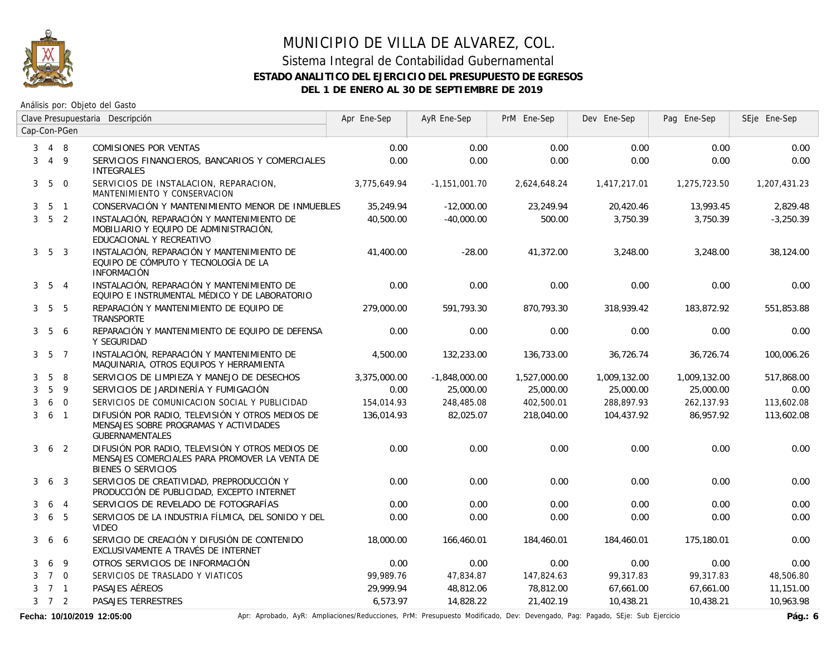

### Sistema Integral de Contabilidad Gubernamental **ESTADO ANALITICO DEL EJERCICIO DEL PRESUPUESTO DE EGRESOS DEL 1 DE ENERO AL 30 DE SEPTIEMBRE DE 2019**

Análisis por: Objeto del Gasto

|                | Clave Presupuestaria Descripción |                 | Apr Ene-Sep                                                                                                              | AyR Ene-Sep  | PrM Ene-Sep     | Dev Ene-Sep  | Pag Ene-Sep  | SEje Ene-Sep |              |
|----------------|----------------------------------|-----------------|--------------------------------------------------------------------------------------------------------------------------|--------------|-----------------|--------------|--------------|--------------|--------------|
|                |                                  | Cap-Con-PGen    |                                                                                                                          |              |                 |              |              |              |              |
| 3              | 4 8                              |                 | COMISIONES POR VENTAS                                                                                                    | 0.00         | 0.00            | 0.00         | 0.00         | 0.00         | 0.00         |
| 3              |                                  | $4\overline{9}$ | SERVICIOS FINANCIEROS, BANCARIOS Y COMERCIALES<br><b>INTEGRALES</b>                                                      | 0.00         | 0.00            | 0.00         | 0.00         | 0.00         | 0.00         |
| 3 <sup>7</sup> | $5\overline{)}$                  | $\overline{0}$  | SERVICIOS DE INSTALACION, REPARACION,<br>MANTENIMIENTO Y CONSERVACION                                                    | 3,775,649.94 | $-1.151.001.70$ | 2,624,648.24 | 1,417,217.01 | 1,275,723.50 | 1,207,431.23 |
| 3              |                                  | 5 1             | CONSERVACIÓN Y MANTENIMIENTO MENOR DE INMUEBLES                                                                          | 35,249.94    | $-12,000.00$    | 23,249.94    | 20,420.46    | 13,993.45    | 2,829.48     |
| $\mathbf{3}$   | 5 <sub>2</sub>                   |                 | INSTALACIÓN, REPARACIÓN Y MANTENIMIENTO DE<br>MOBILIARIO Y EQUIPO DE ADMINISTRACIÓN,<br>EDUCACIONAL Y RECREATIVO         | 40,500.00    | $-40,000.00$    | 500.00       | 3,750.39     | 3,750.39     | $-3,250.39$  |
|                | $3\quad 5\quad 3$                |                 | INSTALACIÓN, REPARACIÓN Y MANTENIMIENTO DE<br>EQUIPO DE CÓMPUTO Y TECNOLOGÍA DE LA<br><b>INFORMACIÓN</b>                 | 41,400.00    | $-28.00$        | 41,372.00    | 3,248.00     | 3,248.00     | 38,124.00    |
|                | $3\quad 5\quad 4$                |                 | INSTALACIÓN, REPARACIÓN Y MANTENIMIENTO DE<br>EQUIPO E INSTRUMENTAL MÉDICO Y DE LABORATORIO                              | 0.00         | 0.00            | 0.00         | 0.00         | 0.00         | 0.00         |
|                | $3\quad 5\quad 5$                |                 | REPARACIÓN Y MANTENIMIENTO DE EQUIPO DE<br>TRANSPORTE                                                                    | 279,000.00   | 591.793.30      | 870.793.30   | 318,939.42   | 183,872.92   | 551,853.88   |
|                | $3\quad 5$                       | 6               | REPARACIÓN Y MANTENIMIENTO DE EQUIPO DE DEFENSA<br>Y SEGURIDAD                                                           | 0.00         | 0.00            | 0.00         | 0.00         | 0.00         | 0.00         |
|                | $3\quad 5\quad 7$                |                 | INSTALACIÓN, REPARACIÓN Y MANTENIMIENTO DE<br>MAQUINARIA, OTROS EQUIPOS Y HERRAMIENTA                                    | 4,500.00     | 132,233.00      | 136,733.00   | 36,726.74    | 36,726.74    | 100,006.26   |
| 3              | 5                                | 8               | SERVICIOS DE LIMPIEZA Y MANEJO DE DESECHOS                                                                               | 3,375,000.00 | $-1,848,000.00$ | 1,527,000.00 | 1,009,132.00 | 1,009,132.00 | 517,868.00   |
| 3              | 5                                | 9               | SERVICIOS DE JARDINERÍA Y FUMIGACIÓN                                                                                     | 0.00         | 25,000.00       | 25,000.00    | 25,000.00    | 25,000.00    | 0.00         |
| 3              |                                  | 6 0             | SERVICIOS DE COMUNICACION SOCIAL Y PUBLICIDAD                                                                            | 154,014.93   | 248,485.08      | 402,500.01   | 288,897.93   | 262,137.93   | 113,602.08   |
| 3              | 6 1                              |                 | DIFUSIÓN POR RADIO, TELEVISIÓN Y OTROS MEDIOS DE<br>MENSAJES SOBRE PROGRAMAS Y ACTIVIDADES<br><b>GUBERNAMENTALES</b>     | 136,014.93   | 82,025.07       | 218,040.00   | 104,437.92   | 86,957.92    | 113,602.08   |
| 3              |                                  | 6 <sub>2</sub>  | DIFUSIÓN POR RADIO. TELEVISIÓN Y OTROS MEDIOS DE<br>MENSAJES COMERCIALES PARA PROMOVER LA VENTA DE<br>BIENES O SERVICIOS | 0.00         | 0.00            | 0.00         | 0.00         | 0.00         | 0.00         |
| 3              |                                  | 6 <sub>3</sub>  | SERVICIOS DE CREATIVIDAD, PREPRODUCCIÓN Y<br>PRODUCCIÓN DE PUBLICIDAD, EXCEPTO INTERNET                                  | 0.00         | 0.00            | 0.00         | 0.00         | 0.00         | 0.00         |
| 3              | 6                                | $\overline{4}$  | SERVICIOS DE REVELADO DE FOTOGRAFÍAS                                                                                     | 0.00         | 0.00            | 0.00         | 0.00         | 0.00         | 0.00         |
| 3              | 6                                | 5               | SERVICIOS DE LA INDUSTRIA FÍLMICA, DEL SONIDO Y DEL<br><b>VIDEO</b>                                                      | 0.00         | 0.00            | 0.00         | 0.00         | 0.00         | 0.00         |
| 3              | 6                                | 6               | SERVICIO DE CREACIÓN Y DIFUSIÓN DE CONTENIDO<br>EXCLUSIVAMENTE A TRAVÉS DE INTERNET                                      | 18,000.00    | 166,460.01      | 184,460.01   | 184,460.01   | 175,180.01   | 0.00         |
| 3              | 6                                | 9               | OTROS SERVICIOS DE INFORMACIÓN                                                                                           | 0.00         | 0.00            | 0.00         | 0.00         | 0.00         | 0.00         |
| 3              | 7 0                              |                 | SERVICIOS DE TRASLADO Y VIATICOS                                                                                         | 99,989.76    | 47,834.87       | 147,824.63   | 99,317.83    | 99,317.83    | 48,506.80    |
| 3              | 7 1                              |                 | PASAJES AÉREOS                                                                                                           | 29,999.94    | 48,812.06       | 78,812.00    | 67,661.00    | 67,661.00    | 11,151.00    |
|                | $3 \quad 7 \quad 2$              |                 | PASAJES TERRESTRES                                                                                                       | 6,573.97     | 14,828.22       | 21,402.19    | 10,438.21    | 10,438.21    | 10,963.98    |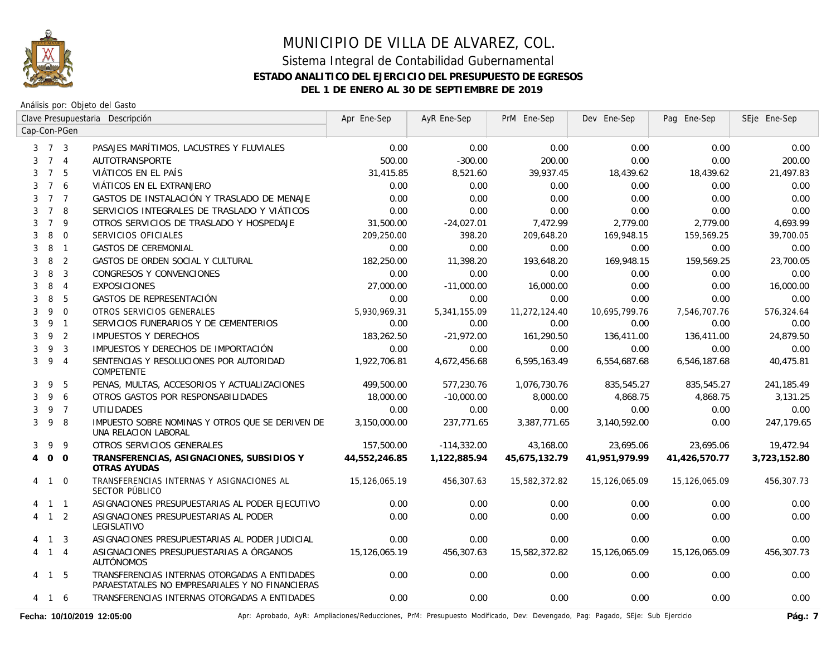

Análisis por: Objeto del Gasto

|                |                     |                | Clave Presupuestaria Descripción                                                                 | Apr Ene-Sep   | AyR Ene-Sep   | PrM Ene-Sep   | Dev Ene-Sep   | Pag Ene-Sep   | SEje Ene-Sep |
|----------------|---------------------|----------------|--------------------------------------------------------------------------------------------------|---------------|---------------|---------------|---------------|---------------|--------------|
|                |                     | Cap-Con-PGen   |                                                                                                  |               |               |               |               |               |              |
|                | $3 \quad 7 \quad 3$ |                | PASAJES MARÍTIMOS, LACUSTRES Y FLUVIALES                                                         | 0.00          | 0.00          | 0.00          | 0.00          | 0.00          | 0.00         |
| 3              |                     | 7 <sub>4</sub> | AUTOTRANSPORTE                                                                                   | 500.00        | $-300.00$     | 200.00        | 0.00          | 0.00          | 200.00       |
| 3              |                     | 7 5            | VIÁTICOS EN EL PAÍS                                                                              | 31,415.85     | 8,521.60      | 39,937.45     | 18,439.62     | 18,439.62     | 21,497.83    |
| 3              | $7^{\circ}$         | 6              | VIÁTICOS EN EL EXTRANJERO                                                                        | 0.00          | 0.00          | 0.00          | 0.00          | 0.00          | 0.00         |
| 3              | 7 <sub>7</sub>      |                | GASTOS DE INSTALACIÓN Y TRASLADO DE MENAJE                                                       | 0.00          | 0.00          | 0.00          | 0.00          | 0.00          | 0.00         |
| 3              | $7^{\circ}$         | 8              | SERVICIOS INTEGRALES DE TRASLADO Y VIÁTICOS                                                      | 0.00          | 0.00          | 0.00          | 0.00          | 0.00          | 0.00         |
| 3              | $\overline{7}$      | 9              | OTROS SERVICIOS DE TRASLADO Y HOSPEDAJE                                                          | 31,500.00     | $-24,027.01$  | 7,472.99      | 2,779.00      | 2,779.00      | 4,693.99     |
| 3              | 8                   | $\overline{0}$ | SERVICIOS OFICIALES                                                                              | 209,250.00    | 398.20        | 209,648.20    | 169,948.15    | 159,569.25    | 39,700.05    |
| 3              | 8                   | $\overline{1}$ | <b>GASTOS DE CEREMONIAL</b>                                                                      | 0.00          | 0.00          | 0.00          | 0.00          | 0.00          | 0.00         |
| 3              | 8                   | $\overline{2}$ | GASTOS DE ORDEN SOCIAL Y CULTURAL                                                                | 182,250.00    | 11,398.20     | 193,648.20    | 169,948.15    | 159,569.25    | 23,700.05    |
| 3              | 8                   | 3              | CONGRESOS Y CONVENCIONES                                                                         | 0.00          | 0.00          | 0.00          | 0.00          | 0.00          | 0.00         |
| 3              | 8                   | $\overline{4}$ | <b>EXPOSICIONES</b>                                                                              | 27,000.00     | $-11,000.00$  | 16,000.00     | 0.00          | 0.00          | 16,000.00    |
| 3              | 8                   | 5              | GASTOS DE REPRESENTACIÓN                                                                         | 0.00          | 0.00          | 0.00          | 0.00          | 0.00          | 0.00         |
| 3              | 9                   | $\Omega$       | OTROS SERVICIOS GENERALES                                                                        | 5,930,969.31  | 5,341,155.09  | 11,272,124.40 | 10,695,799.76 | 7,546,707.76  | 576,324.64   |
| 3              |                     | 9 1            | SERVICIOS FUNERARIOS Y DE CEMENTERIOS                                                            | 0.00          | 0.00          | 0.00          | 0.00          | 0.00          | 0.00         |
| 3              | 9                   | $\overline{2}$ | <b>IMPUESTOS Y DERECHOS</b>                                                                      | 183,262.50    | $-21,972.00$  | 161,290.50    | 136,411.00    | 136,411.00    | 24,879.50    |
| 3              | 9                   | $\overline{3}$ | IMPUESTOS Y DERECHOS DE IMPORTACIÓN                                                              | 0.00          | 0.00          | 0.00          | 0.00          | 0.00          | 0.00         |
| 3              | 9                   | $\overline{4}$ | SENTENCIAS Y RESOLUCIONES POR AUTORIDAD<br>COMPETENTE                                            | 1,922,706.81  | 4,672,456.68  | 6,595,163.49  | 6,554,687.68  | 6,546,187.68  | 40,475.81    |
| 3              | 9                   | 5              | PENAS, MULTAS, ACCESORIOS Y ACTUALIZACIONES                                                      | 499,500.00    | 577,230.76    | 1,076,730.76  | 835,545.27    | 835,545.27    | 241,185.49   |
| 3              | 9                   | 6              | OTROS GASTOS POR RESPONSABILIDADES                                                               | 18,000.00     | $-10,000.00$  | 8,000.00      | 4,868.75      | 4,868.75      | 3,131.25     |
| 3              |                     | 9 7            | <b>UTILIDADES</b>                                                                                | 0.00          | 0.00          | 0.00          | 0.00          | 0.00          | 0.00         |
| 3              | 9                   | -8             | IMPUESTO SOBRE NOMINAS Y OTROS QUE SE DERIVEN DE<br>UNA RELACION LABORAL                         | 3,150,000.00  | 237,771.65    | 3,387,771.65  | 3,140,592.00  | 0.00          | 247,179.65   |
| 3              | 9                   | 9              | OTROS SERVICIOS GENERALES                                                                        | 157,500.00    | $-114,332.00$ | 43,168.00     | 23,695.06     | 23,695.06     | 19,472.94    |
| $\overline{4}$ | $\overline{O}$      | $\Omega$       | TRANSFERENCIAS, ASIGNACIONES, SUBSIDIOS Y<br>OTRAS AYUDAS                                        | 44.552.246.85 | 1,122,885.94  | 45,675,132.79 | 41.951.979.99 | 41,426,570.77 | 3,723,152.80 |
|                | 4 1                 | $\overline{0}$ | TRANSFERENCIAS INTERNAS Y ASIGNACIONES AL<br>SECTOR PÚBLICO                                      | 15,126,065.19 | 456,307.63    | 15,582,372.82 | 15,126,065.09 | 15,126,065.09 | 456,307.73   |
|                | $1\quad1$           |                | ASIGNACIONES PRESUPUESTARIAS AL PODER EJECUTIVO                                                  | 0.00          | 0.00          | 0.00          | 0.00          | 0.00          | 0.00         |
|                | $4 \quad 1 \quad 2$ |                | ASIGNACIONES PRESUPUESTARIAS AL PODER<br>LEGISLATIVO                                             | 0.00          | 0.00          | 0.00          | 0.00          | 0.00          | 0.00         |
|                | 4 1 3               |                | ASIGNACIONES PRESUPUESTARIAS AL PODER JUDICIAL                                                   | 0.00          | 0.00          | 0.00          | 0.00          | 0.00          | 0.00         |
|                | 4 1 4               |                | ASIGNACIONES PRESUPUESTARIAS A ÓRGANOS<br><b>AUTÓNOMOS</b>                                       | 15,126,065.19 | 456,307.63    | 15,582,372.82 | 15,126,065.09 | 15,126,065.09 | 456,307.73   |
|                | 4 1 5               |                | TRANSFERENCIAS INTERNAS OTORGADAS A ENTIDADES<br>PARAESTATALES NO EMPRESARIALES Y NO FINANCIERAS | 0.00          | 0.00          | 0.00          | 0.00          | 0.00          | 0.00         |
|                | 4 1 6               |                | TRANSFERENCIAS INTERNAS OTORGADAS A ENTIDADES                                                    | 0.00          | 0.00          | 0.00          | 0.00          | 0.00          | 0.00         |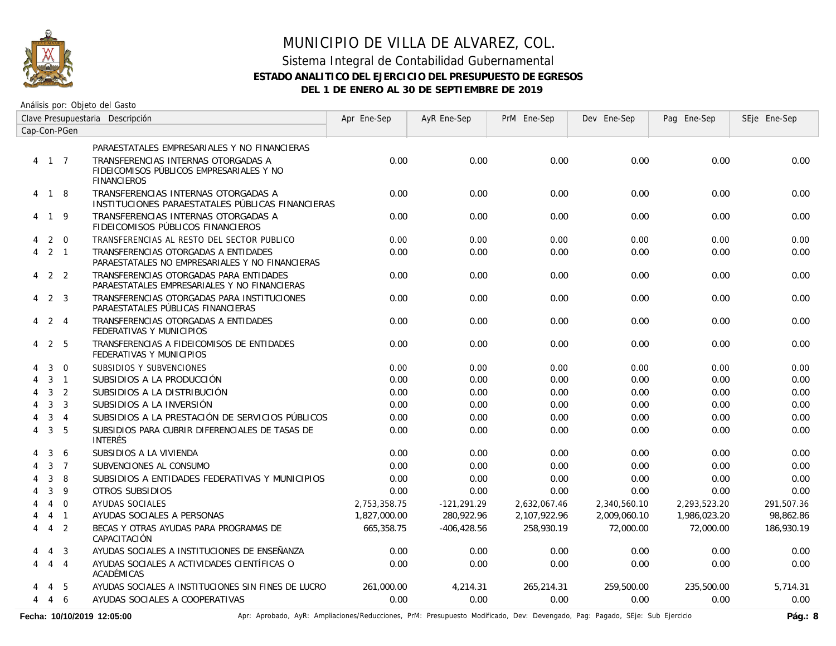

### Sistema Integral de Contabilidad Gubernamental **ESTADO ANALITICO DEL EJERCICIO DEL PRESUPUESTO DE EGRESOS DEL 1 DE ENERO AL 30 DE SEPTIEMBRE DE 2019**

Análisis por: Objeto del Gasto

|   | Clave Presupuestaria Descripción |                | Apr Ene-Sep                                                                                           | AyR Ene-Sep  | PrM Ene-Sep    | Dev Ene-Sep  | Pag Ene-Sep  | SEje Ene-Sep |            |
|---|----------------------------------|----------------|-------------------------------------------------------------------------------------------------------|--------------|----------------|--------------|--------------|--------------|------------|
|   |                                  | Cap-Con-PGen   |                                                                                                       |              |                |              |              |              |            |
|   |                                  |                | PARAESTATALES EMPRESARIALES Y NO FINANCIERAS                                                          |              |                |              |              |              |            |
|   | 4 1 7                            |                | TRANSFERENCIAS INTERNAS OTORGADAS A<br>FIDEICOMISOS PÚBLICOS EMPRESARIALES Y NO<br><b>FINANCIEROS</b> | 0.00         | 0.00           | 0.00         | 0.00         | 0.00         | 0.00       |
|   | 4 1 8                            |                | TRANSFERENCIAS INTERNAS OTORGADAS A<br>INSTITUCIONES PARAESTATALES PÚBLICAS FINANCIERAS               | 0.00         | 0.00           | 0.00         | 0.00         | 0.00         | 0.00       |
| 4 | 19                               |                | TRANSFERENCIAS INTERNAS OTORGADAS A<br>FIDEICOMISOS PÚBLICOS FINANCIEROS                              | 0.00         | 0.00           | 0.00         | 0.00         | 0.00         | 0.00       |
| 4 |                                  | 2 0            | TRANSFERENCIAS AL RESTO DEL SECTOR PUBLICO                                                            | 0.00         | 0.00           | 0.00         | 0.00         | 0.00         | 0.00       |
| 4 |                                  | $2 \quad 1$    | TRANSFERENCIAS OTORGADAS A ENTIDADES<br>PARAESTATALES NO EMPRESARIALES Y NO FINANCIERAS               | 0.00         | 0.00           | 0.00         | 0.00         | 0.00         | 0.00       |
|   | $4\quad 2\quad 2$                |                | TRANSFERENCIAS OTORGADAS PARA ENTIDADES<br>PARAESTATALES EMPRESARIALES Y NO FINANCIERAS               | 0.00         | 0.00           | 0.00         | 0.00         | 0.00         | 0.00       |
| 4 | 2                                | $\overline{3}$ | TRANSFERENCIAS OTORGADAS PARA INSTITUCIONES<br>PARAESTATALES PÚBLICAS FINANCIERAS                     | 0.00         | 0.00           | 0.00         | 0.00         | 0.00         | 0.00       |
| 4 | 2 4                              |                | TRANSFERENCIAS OTORGADAS A ENTIDADES<br>FEDERATIVAS Y MUNICIPIOS                                      | 0.00         | 0.00           | 0.00         | 0.00         | 0.00         | 0.00       |
| 4 | 2                                | -5             | TRANSFERENCIAS A FIDEICOMISOS DE ENTIDADES<br>FEDERATIVAS Y MUNICIPIOS                                | 0.00         | 0.00           | 0.00         | 0.00         | 0.00         | 0.00       |
|   | 3                                | $\mathbf 0$    | SUBSIDIOS Y SUBVENCIONES                                                                              | 0.00         | 0.00           | 0.00         | 0.00         | 0.00         | 0.00       |
| 4 |                                  | $3 \quad 1$    | SUBSIDIOS A LA PRODUCCIÓN                                                                             | 0.00         | 0.00           | 0.00         | 0.00         | 0.00         | 0.00       |
| 4 | $\mathbf{3}$                     | 2              | SUBSIDIOS A LA DISTRIBUCIÓN                                                                           | 0.00         | 0.00           | 0.00         | 0.00         | 0.00         | 0.00       |
| 4 | 3                                | $\overline{3}$ | SUBSIDIOS A LA INVERSIÓN                                                                              | 0.00         | 0.00           | 0.00         | 0.00         | 0.00         | 0.00       |
|   | 3                                | $\overline{4}$ | SUBSIDIOS A LA PRESTACIÓN DE SERVICIOS PÚBLICOS                                                       | 0.00         | 0.00           | 0.00         | 0.00         | 0.00         | 0.00       |
| 4 | 3                                | 5              | SUBSIDIOS PARA CUBRIR DIFERENCIALES DE TASAS DE<br><b>INTERÉS</b>                                     | 0.00         | 0.00           | 0.00         | 0.00         | 0.00         | 0.00       |
|   | 3                                | 6              | SUBSIDIOS A LA VIVIENDA                                                                               | 0.00         | 0.00           | 0.00         | 0.00         | 0.00         | 0.00       |
|   | $\mathbf{3}$                     | $\overline{7}$ | SUBVENCIONES AL CONSUMO                                                                               | 0.00         | 0.00           | 0.00         | 0.00         | 0.00         | 0.00       |
|   | 3                                | 8              | SUBSIDIOS A ENTIDADES FEDERATIVAS Y MUNICIPIOS                                                        | 0.00         | 0.00           | 0.00         | 0.00         | 0.00         | 0.00       |
|   | 3                                | 9              | OTROS SUBSIDIOS                                                                                       | 0.00         | 0.00           | 0.00         | 0.00         | 0.00         | 0.00       |
|   | $\overline{4}$                   | $\overline{0}$ | <b>AYUDAS SOCIALES</b>                                                                                | 2,753,358.75 | $-121,291.29$  | 2,632,067.46 | 2,340,560.10 | 2,293,523.20 | 291,507.36 |
|   | 4                                | $\overline{1}$ | AYUDAS SOCIALES A PERSONAS                                                                            | 1,827,000.00 | 280,922.96     | 2,107,922.96 | 2,009,060.10 | 1,986,023.20 | 98,862.86  |
| 4 | $\overline{4}$                   | $\overline{2}$ | BECAS Y OTRAS AYUDAS PARA PROGRAMAS DE<br>CAPACITACIÓN                                                | 665,358.75   | $-406, 428.56$ | 258,930.19   | 72,000.00    | 72,000.00    | 186,930.19 |
|   | 4                                | $\overline{3}$ | AYUDAS SOCIALES A INSTITUCIONES DE ENSEÑANZA                                                          | 0.00         | 0.00           | 0.00         | 0.00         | 0.00         | 0.00       |
| 4 |                                  | $4\quad 4$     | AYUDAS SOCIALES A ACTIVIDADES CIENTÍFICAS O<br>ACADÉMICAS                                             | 0.00         | 0.00           | 0.00         | 0.00         | 0.00         | 0.00       |
|   | 4                                | 5              | AYUDAS SOCIALES A INSTITUCIONES SIN FINES DE LUCRO                                                    | 261.000.00   | 4,214.31       | 265,214.31   | 259,500.00   | 235,500.00   | 5,714.31   |
| 4 | 4 6                              |                | AYUDAS SOCIALES A COOPERATIVAS                                                                        | 0.00         | 0.00           | 0.00         | 0.00         | 0.00         | 0.00       |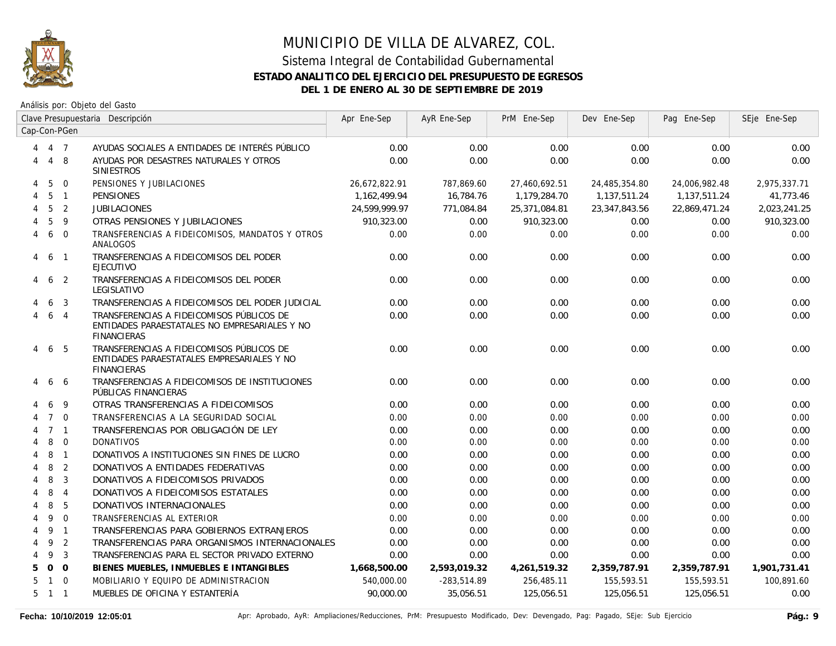

|   | Clave Presupuestaria Descripción |                | Apr Ene-Sep                                                                                                      | AyR Ene-Sep   | PrM Ene-Sep   | Dev Ene-Sep   | Pag Ene-Sep   | SEje Ene-Sep  |              |
|---|----------------------------------|----------------|------------------------------------------------------------------------------------------------------------------|---------------|---------------|---------------|---------------|---------------|--------------|
|   |                                  | Cap-Con-PGen   |                                                                                                                  |               |               |               |               |               |              |
| 4 | 4 7                              |                | AYUDAS SOCIALES A ENTIDADES DE INTERÉS PÚBLICO                                                                   | 0.00          | 0.00          | 0.00          | 0.00          | 0.00          | 0.00         |
| 4 | 4 8                              |                | AYUDAS POR DESASTRES NATURALES Y OTROS<br><b>SINIESTROS</b>                                                      | 0.00          | 0.00          | 0.00          | 0.00          | 0.00          | 0.00         |
| 4 | 5                                | $\mathbf{0}$   | PENSIONES Y JUBILACIONES                                                                                         | 26,672,822.91 | 787,869.60    | 27,460,692.51 | 24,485,354.80 | 24,006,982.48 | 2,975,337.71 |
| 4 | 5                                | $\overline{1}$ | <b>PENSIONES</b>                                                                                                 | 1,162,499.94  | 16,784.76     | 1,179,284.70  | 1,137,511.24  | 1,137,511.24  | 41,773.46    |
|   | 5                                | $\overline{2}$ | <b>JUBILACIONES</b>                                                                                              | 24,599,999.97 | 771,084.84    | 25,371,084.81 | 23,347,843.56 | 22,869,471.24 | 2,023,241.25 |
|   | 5                                | 9              | OTRAS PENSIONES Y JUBILACIONES                                                                                   | 910,323.00    | 0.00          | 910,323.00    | 0.00          | 0.00          | 910,323.00   |
| 4 | 6                                | $\overline{0}$ | TRANSFERENCIAS A FIDEICOMISOS, MANDATOS Y OTROS<br>ANALOGOS                                                      | 0.00          | 0.00          | 0.00          | 0.00          | 0.00          | 0.00         |
| 4 | 6                                | $\overline{1}$ | TRANSFERENCIAS A FIDEICOMISOS DEL PODER<br><b>EJECUTIVO</b>                                                      | 0.00          | 0.00          | 0.00          | 0.00          | 0.00          | 0.00         |
| 4 | 6                                | $\overline{2}$ | TRANSFERENCIAS A FIDEICOMISOS DEL PODER<br>LEGISLATIVO                                                           | 0.00          | 0.00          | 0.00          | 0.00          | 0.00          | 0.00         |
|   | 6                                | 3              | TRANSFERENCIAS A FIDEICOMISOS DEL PODER JUDICIAL                                                                 | 0.00          | 0.00          | 0.00          | 0.00          | 0.00          | 0.00         |
| 4 | 6                                | $\overline{4}$ | TRANSFERENCIAS A FIDEICOMISOS PÚBLICOS DE<br>ENTIDADES PARAESTATALES NO EMPRESARIALES Y NO<br><b>FINANCIERAS</b> | 0.00          | 0.00          | 0.00          | 0.00          | 0.00          | 0.00         |
| 4 |                                  | 6 5            | TRANSFERENCIAS A FIDEICOMISOS PÚBLICOS DE<br>ENTIDADES PARAESTATALES EMPRESARIALES Y NO<br><b>FINANCIERAS</b>    | 0.00          | 0.00          | 0.00          | 0.00          | 0.00          | 0.00         |
|   | 6                                | -6             | TRANSFERENCIAS A FIDEICOMISOS DE INSTITUCIONES<br>PÚBLICAS FINANCIERAS                                           | 0.00          | 0.00          | 0.00          | 0.00          | 0.00          | 0.00         |
|   | 6                                | 9              | OTRAS TRANSFERENCIAS A FIDEICOMISOS                                                                              | 0.00          | 0.00          | 0.00          | 0.00          | 0.00          | 0.00         |
|   |                                  | $7\quad0$      | TRANSFERENCIAS A LA SEGURIDAD SOCIAL                                                                             | 0.00          | 0.00          | 0.00          | 0.00          | 0.00          | 0.00         |
| 4 |                                  | $7 \quad 1$    | TRANSFERENCIAS POR OBLIGACIÓN DE LEY                                                                             | 0.00          | 0.00          | 0.00          | 0.00          | 0.00          | 0.00         |
|   | 8                                | $\Omega$       | <b>DONATIVOS</b>                                                                                                 | 0.00          | 0.00          | 0.00          | 0.00          | 0.00          | 0.00         |
|   | 8                                | $\overline{1}$ | DONATIVOS A INSTITUCIONES SIN FINES DE LUCRO                                                                     | 0.00          | 0.00          | 0.00          | 0.00          | 0.00          | 0.00         |
|   | 8                                | 2              | DONATIVOS A ENTIDADES FEDERATIVAS                                                                                | 0.00          | 0.00          | 0.00          | 0.00          | 0.00          | 0.00         |
| 4 | 8                                | 3              | DONATIVOS A FIDEICOMISOS PRIVADOS                                                                                | 0.00          | 0.00          | 0.00          | 0.00          | 0.00          | 0.00         |
| 4 | 8                                | $\overline{4}$ | DONATIVOS A FIDEICOMISOS ESTATALES                                                                               | 0.00          | 0.00          | 0.00          | 0.00          | 0.00          | 0.00         |
| 4 | 8                                | 5              | DONATIVOS INTERNACIONALES                                                                                        | 0.00          | 0.00          | 0.00          | 0.00          | 0.00          | 0.00         |
| 4 | 9                                | $\overline{0}$ | TRANSFERENCIAS AL EXTERIOR                                                                                       | 0.00          | 0.00          | 0.00          | 0.00          | 0.00          | 0.00         |
| 4 | 9                                | $\overline{1}$ | TRANSFERENCIAS PARA GOBIERNOS EXTRANJEROS                                                                        | 0.00          | 0.00          | 0.00          | 0.00          | 0.00          | 0.00         |
| 4 | 9                                | $\overline{2}$ | TRANSFERENCIAS PARA ORGANISMOS INTERNACIONALES                                                                   | 0.00          | 0.00          | 0.00          | 0.00          | 0.00          | 0.00         |
| 4 | 9                                | $\overline{3}$ | TRANSFERENCIAS PARA EL SECTOR PRIVADO EXTERNO                                                                    | 0.00          | 0.00          | 0.00          | 0.00          | 0.00          | 0.00         |
| 5 |                                  | 0 <sub>0</sub> | BIENES MUEBLES, INMUEBLES E INTANGIBLES                                                                          | 1,668,500.00  | 2,593,019.32  | 4,261,519.32  | 2,359,787.91  | 2,359,787.91  | 1,901,731.41 |
| 5 |                                  | $1 \quad 0$    | MOBILIARIO Y EQUIPO DE ADMINISTRACION                                                                            | 540,000.00    | $-283,514.89$ | 256,485.11    | 155,593.51    | 155,593.51    | 100,891.60   |
|   | $5 \quad 1 \quad 1$              |                | MUEBLES DE OFICINA Y ESTANTERÍA                                                                                  | 90,000.00     | 35,056.51     | 125,056.51    | 125,056.51    | 125,056.51    | 0.00         |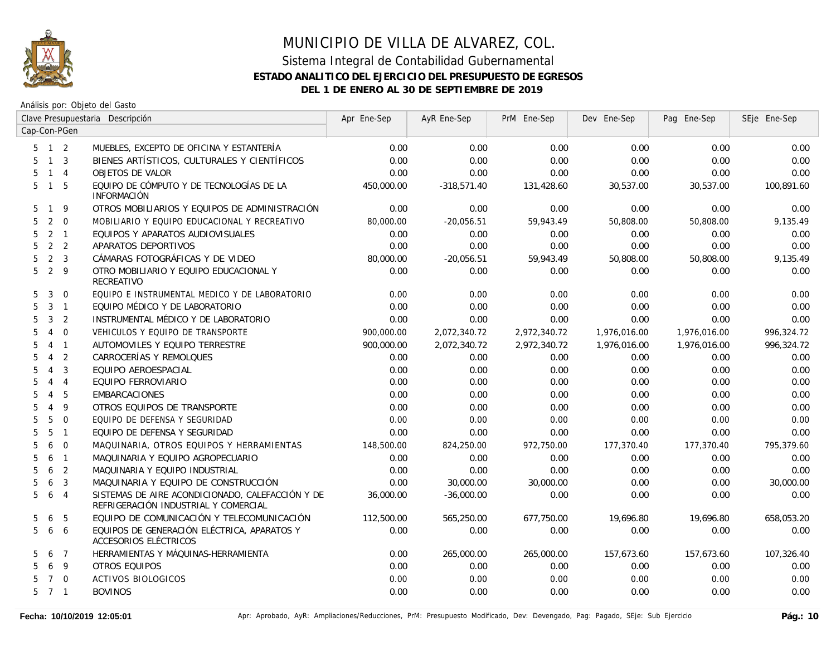

|                     |                |                         | Clave Presupuestaria Descripción                                                         | Apr Ene-Sep | AyR Ene-Sep   | PrM Ene-Sep  | Dev Ene-Sep  | Pag Ene-Sep  | SEje Ene-Sep |
|---------------------|----------------|-------------------------|------------------------------------------------------------------------------------------|-------------|---------------|--------------|--------------|--------------|--------------|
| Cap-Con-PGen        |                |                         |                                                                                          |             |               |              |              |              |              |
| $5$ 1 2             |                |                         | MUEBLES, EXCEPTO DE OFICINA Y ESTANTERÍA                                                 | 0.00        | 0.00          | 0.00         | 0.00         | 0.00         | 0.00         |
| 5                   | $1 \quad 3$    |                         | BIENES ARTÍSTICOS, CULTURALES Y CIENTÍFICOS                                              | 0.00        | 0.00          | 0.00         | 0.00         | 0.00         | 0.00         |
| 5                   | $1 \quad 4$    |                         | <b>OBJETOS DE VALOR</b>                                                                  | 0.00        | 0.00          | 0.00         | 0.00         | 0.00         | 0.00         |
| 5                   | $\mathbf{1}$   | 5                       | EQUIPO DE CÓMPUTO Y DE TECNOLOGÍAS DE LA<br><b>INFORMACIÓN</b>                           | 450,000.00  | $-318,571.40$ | 131,428.60   | 30,537.00    | 30,537.00    | 100,891.60   |
| $\mathbf{1}$<br>5.  |                | 9                       | OTROS MOBILIARIOS Y EQUIPOS DE ADMINISTRACIÓN                                            | 0.00        | 0.00          | 0.00         | 0.00         | 0.00         | 0.00         |
| 5                   | 2              | $\mathbf 0$             | MOBILIARIO Y EQUIPO EDUCACIONAL Y RECREATIVO                                             | 80,000.00   | $-20,056.51$  | 59,943.49    | 50,808.00    | 50,808.00    | 9,135.49     |
| 5                   | 2              | $\overline{1}$          | EQUIPOS Y APARATOS AUDIOVISUALES                                                         | 0.00        | 0.00          | 0.00         | 0.00         | 0.00         | 0.00         |
| 5                   | 2 <sub>2</sub> |                         | APARATOS DEPORTIVOS                                                                      | 0.00        | 0.00          | 0.00         | 0.00         | 0.00         | 0.00         |
| 5.                  | 2              | $\overline{\mathbf{3}}$ | CÁMARAS FOTOGRÁFICAS Y DE VIDEO                                                          | 80,000.00   | $-20,056.51$  | 59,943.49    | 50,808.00    | 50,808.00    | 9,135.49     |
| 5                   | 2 <sup>9</sup> |                         | OTRO MOBILIARIO Y EQUIPO EDUCACIONAL Y<br><b>RECREATIVO</b>                              | 0.00        | 0.00          | 0.00         | 0.00         | 0.00         | 0.00         |
| 5                   | 3              | $\Omega$                | EQUIPO E INSTRUMENTAL MEDICO Y DE LABORATORIO                                            | 0.00        | 0.00          | 0.00         | 0.00         | 0.00         | 0.00         |
| 5                   | $3 \quad 1$    |                         | EQUIPO MÉDICO Y DE LABORATORIO                                                           | 0.00        | 0.00          | 0.00         | 0.00         | 0.00         | 0.00         |
| 5                   | 3              | 2                       | INSTRUMENTAL MÉDICO Y DE LABORATORIO                                                     | 0.00        | 0.00          | 0.00         | 0.00         | 0.00         | 0.00         |
| 5                   | 4              | $\mathbf{0}$            | VEHICULOS Y EQUIPO DE TRANSPORTE                                                         | 900,000.00  | 2,072,340.72  | 2,972,340.72 | 1,976,016.00 | 1,976,016.00 | 996,324.72   |
| 5<br>$\overline{4}$ |                | $\overline{1}$          | AUTOMOVILES Y EQUIPO TERRESTRE                                                           | 900.000.00  | 2,072,340.72  | 2,972,340.72 | 1,976,016.00 | 1,976,016.00 | 996,324.72   |
| 5                   | $\overline{4}$ | 2                       | CARROCERÍAS Y REMOLQUES                                                                  | 0.00        | 0.00          | 0.00         | 0.00         | 0.00         | 0.00         |
| 5<br>$\overline{4}$ |                | 3                       | EQUIPO AEROESPACIAL                                                                      | 0.00        | 0.00          | 0.00         | 0.00         | 0.00         | 0.00         |
| 5.                  | $\overline{4}$ | $\overline{4}$          | EQUIPO FERROVIARIO                                                                       | 0.00        | 0.00          | 0.00         | 0.00         | 0.00         | 0.00         |
| 5.                  | $\overline{4}$ | 5                       | <b>EMBARCACIONES</b>                                                                     | 0.00        | 0.00          | 0.00         | 0.00         | 0.00         | 0.00         |
| 5                   | $\overline{4}$ | 9                       | OTROS EQUIPOS DE TRANSPORTE                                                              | 0.00        | 0.00          | 0.00         | 0.00         | 0.00         | 0.00         |
| 5                   | 5              | $\Omega$                | EQUIPO DE DEFENSA Y SEGURIDAD                                                            | 0.00        | 0.00          | 0.00         | 0.00         | 0.00         | 0.00         |
| 5                   | 5              | $\overline{1}$          | EQUIPO DE DEFENSA Y SEGURIDAD                                                            | 0.00        | 0.00          | 0.00         | 0.00         | 0.00         | 0.00         |
| 5                   | 6              | $\overline{0}$          | MAQUINARIA, OTROS EQUIPOS Y HERRAMIENTAS                                                 | 148,500.00  | 824,250.00    | 972,750.00   | 177,370.40   | 177,370.40   | 795,379.60   |
| 5.                  | 6              | $\overline{1}$          | MAQUINARIA Y EQUIPO AGROPECUARIO                                                         | 0.00        | 0.00          | 0.00         | 0.00         | 0.00         | 0.00         |
| 5                   | 6              | $\overline{2}$          | MAQUINARIA Y EQUIPO INDUSTRIAL                                                           | 0.00        | 0.00          | 0.00         | 0.00         | 0.00         | 0.00         |
| 5                   | 6              | 3                       | MAQUINARIA Y EQUIPO DE CONSTRUCCIÓN                                                      | 0.00        | 30,000.00     | 30,000.00    | 0.00         | 0.00         | 30,000.00    |
| 5                   | 6              | $\overline{4}$          | SISTEMAS DE AIRE ACONDICIONADO, CALEFACCIÓN Y DE<br>REFRIGERACIÓN INDUSTRIAL Y COMERCIAL | 36,000.00   | $-36,000.00$  | 0.00         | 0.00         | 0.00         | 0.00         |
| 5                   | 6              | 5                       | EQUIPO DE COMUNICACIÓN Y TELECOMUNICACIÓN                                                | 112,500.00  | 565,250.00    | 677,750.00   | 19,696.80    | 19,696.80    | 658,053.20   |
| 5                   | 6              | 6                       | EQUIPOS DE GENERACIÓN ELÉCTRICA, APARATOS Y<br>ACCESORIOS ELÉCTRICOS                     | 0.00        | 0.00          | 0.00         | 0.00         | 0.00         | 0.00         |
| 5                   | 6              | $\overline{7}$          | HERRAMIENTAS Y MÁQUINAS-HERRAMIENTA                                                      | 0.00        | 265,000.00    | 265,000.00   | 157,673.60   | 157,673.60   | 107,326.40   |
| 5                   | 6              | $\overline{9}$          | OTROS EQUIPOS                                                                            | 0.00        | 0.00          | 0.00         | 0.00         | 0.00         | 0.00         |
| 5                   | 7 0            |                         | <b>ACTIVOS BIOLOGICOS</b>                                                                | 0.00        | 0.00          | 0.00         | 0.00         | 0.00         | 0.00         |
| $5 \quad 7 \quad 1$ |                |                         | <b>BOVINOS</b>                                                                           | 0.00        | 0.00          | 0.00         | 0.00         | 0.00         | 0.00         |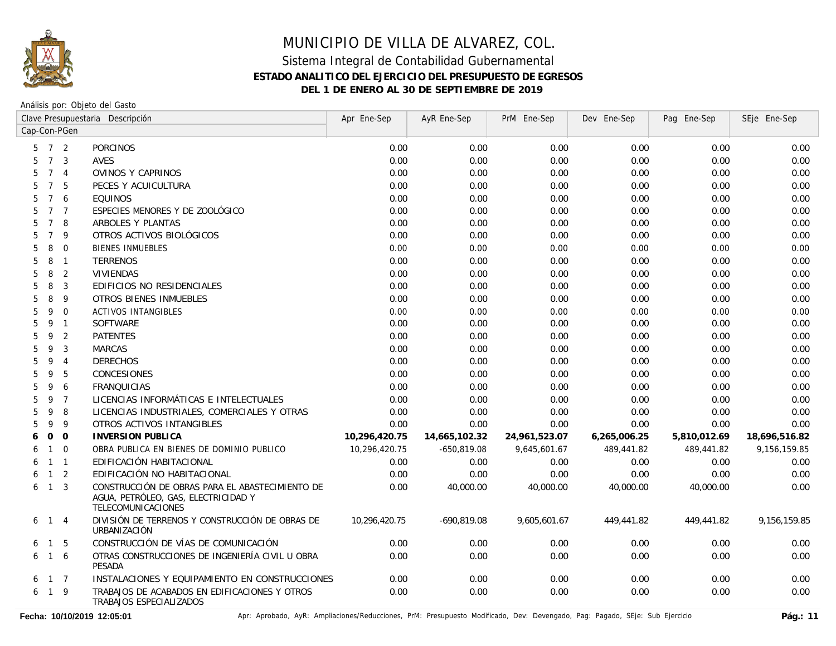

### MUNICIPIO DE VILLA DE ALVAREZ, COL. Sistema Integral de Contabilidad Gubernamental **ESTADO ANALITICO DEL EJERCICIO DEL PRESUPUESTO DE EGRESOS**

**DEL 1 DE ENERO AL 30 DE SEPTIEMBRE DE 2019**

Análisis por: Objeto del Gasto

|                     |                 |                | Clave Presupuestaria Descripción                                                                             | Apr Ene-Sep   | AyR Ene-Sep   | PrM Ene-Sep   | Dev Ene-Sep  | Pag Ene-Sep  | SEje Ene-Sep  |
|---------------------|-----------------|----------------|--------------------------------------------------------------------------------------------------------------|---------------|---------------|---------------|--------------|--------------|---------------|
| Cap-Con-PGen        |                 |                |                                                                                                              |               |               |               |              |              |               |
| $5 \quad 7 \quad 2$ |                 |                | <b>PORCINOS</b>                                                                                              | 0.00          | 0.00          | 0.00          | 0.00         | 0.00         | 0.00          |
| 5                   | $7^{\circ}$     | 3              | AVES                                                                                                         | 0.00          | 0.00          | 0.00          | 0.00         | 0.00         | 0.00          |
| 5                   | $7^{\circ}$     | $\overline{4}$ | OVINOS Y CAPRINOS                                                                                            | 0.00          | 0.00          | 0.00          | 0.00         | 0.00         | 0.00          |
| 5                   | $7\overline{ }$ | 5              | PECES Y ACUICULTURA                                                                                          | 0.00          | 0.00          | 0.00          | 0.00         | 0.00         | 0.00          |
| 5                   |                 | 7 6            | <b>EQUINOS</b>                                                                                               | 0.00          | 0.00          | 0.00          | 0.00         | 0.00         | 0.00          |
| 5                   | $7^{\circ}$     | $\overline{7}$ | ESPECIES MENORES Y DE ZOOLÓGICO                                                                              | 0.00          | 0.00          | 0.00          | 0.00         | 0.00         | 0.00          |
| 5                   | $\overline{7}$  | 8              | ARBOLES Y PLANTAS                                                                                            | 0.00          | 0.00          | 0.00          | 0.00         | 0.00         | 0.00          |
| 5                   | $\overline{7}$  | 9              | OTROS ACTIVOS BIOLÓGICOS                                                                                     | 0.00          | 0.00          | 0.00          | 0.00         | 0.00         | 0.00          |
| 5                   | 8               | $\mathbf 0$    | <b>BIENES INMUEBLES</b>                                                                                      | 0.00          | 0.00          | 0.00          | 0.00         | 0.00         | 0.00          |
| 5                   | 8               | $\overline{1}$ | <b>TERRENOS</b>                                                                                              | 0.00          | 0.00          | 0.00          | 0.00         | 0.00         | 0.00          |
| 5                   | 8               | 2              | <b>VIVIENDAS</b>                                                                                             | 0.00          | 0.00          | 0.00          | 0.00         | 0.00         | 0.00          |
| 5                   | 8               | 3              | EDIFICIOS NO RESIDENCIALES                                                                                   | 0.00          | 0.00          | 0.00          | 0.00         | 0.00         | 0.00          |
| 5                   | 8               | 9              | <b>OTROS BIENES INMUEBLES</b>                                                                                | 0.00          | 0.00          | 0.00          | 0.00         | 0.00         | 0.00          |
| 5                   | 9               | $\Omega$       | <b>ACTIVOS INTANGIBLES</b>                                                                                   | 0.00          | 0.00          | 0.00          | 0.00         | 0.00         | 0.00          |
| 5                   | 9               | $\mathbf{1}$   | SOFTWARE                                                                                                     | 0.00          | 0.00          | 0.00          | 0.00         | 0.00         | 0.00          |
| 5                   | 9               | 2              | <b>PATENTES</b>                                                                                              | 0.00          | 0.00          | 0.00          | 0.00         | 0.00         | 0.00          |
| 5                   | 9               | 3              | <b>MARCAS</b>                                                                                                | 0.00          | 0.00          | 0.00          | 0.00         | 0.00         | 0.00          |
| 5                   | 9               | $\overline{4}$ | <b>DERECHOS</b>                                                                                              | 0.00          | 0.00          | 0.00          | 0.00         | 0.00         | 0.00          |
| 5                   | 9               | 5              | CONCESIONES                                                                                                  | 0.00          | 0.00          | 0.00          | 0.00         | 0.00         | 0.00          |
| 5                   | 9               | 6              | <b>FRANQUICIAS</b>                                                                                           | 0.00          | 0.00          | 0.00          | 0.00         | 0.00         | 0.00          |
| 5                   | 9               | $\overline{7}$ | LICENCIAS INFORMÁTICAS E INTELECTUALES                                                                       | 0.00          | 0.00          | 0.00          | 0.00         | 0.00         | 0.00          |
| 5                   | 9               | 8              | LICENCIAS INDUSTRIALES, COMERCIALES Y OTRAS                                                                  | 0.00          | 0.00          | 0.00          | 0.00         | 0.00         | 0.00          |
| 5                   | 9               | 9              | OTROS ACTIVOS INTANGIBLES                                                                                    | 0.00          | 0.00          | 0.00          | 0.00         | 0.00         | 0.00          |
| 6                   | $\mathbf 0$     | $\overline{0}$ | <b>INVERSION PUBLICA</b>                                                                                     | 10,296,420.75 | 14,665,102.32 | 24,961,523.07 | 6,265,006.25 | 5,810,012.69 | 18,696,516.82 |
| 6                   | $\mathbf{1}$    | $\Omega$       | OBRA PUBLICA EN BIENES DE DOMINIO PUBLICO                                                                    | 10,296,420.75 | $-650,819.08$ | 9,645,601.67  | 489,441.82   | 489,441.82   | 9,156,159.85  |
| 6                   | $\mathbf{1}$    | $\overline{1}$ | EDIFICACIÓN HABITACIONAL                                                                                     | 0.00          | 0.00          | 0.00          | 0.00         | 0.00         | 0.00          |
| 6                   | $\mathbf{1}$    | 2              | EDIFICACIÓN NO HABITACIONAL                                                                                  | 0.00          | 0.00          | 0.00          | 0.00         | 0.00         | 0.00          |
| 6                   | $\overline{1}$  | 3              | CONSTRUCCIÓN DE OBRAS PARA EL ABASTECIMIENTO DE<br>AGUA, PETRÓLEO, GAS, ELECTRICIDAD Y<br>TELECOMUNICACIONES | 0.00          | 40,000.00     | 40,000.00     | 40,000.00    | 40,000.00    | 0.00          |
| 6                   | $\overline{1}$  | $\overline{4}$ | DIVISIÓN DE TERRENOS Y CONSTRUCCIÓN DE OBRAS DE<br>URBANIZACIÓN                                              | 10,296,420.75 | $-690,819.08$ | 9,605,601.67  | 449,441.82   | 449,441.82   | 9,156,159.85  |
| 6                   | $\overline{1}$  | 5              | CONSTRUCCIÓN DE VÍAS DE COMUNICACIÓN                                                                         | 0.00          | 0.00          | 0.00          | 0.00         | 0.00         | 0.00          |
| 6                   |                 | $1\quad6$      | OTRAS CONSTRUCCIONES DE INGENIERÍA CIVIL U OBRA<br><b>PESADA</b>                                             | 0.00          | 0.00          | 0.00          | 0.00         | 0.00         | 0.00          |
| 6                   | $1 \quad 7$     |                | INSTALACIONES Y EQUIPAMIENTO EN CONSTRUCCIONES                                                               | 0.00          | 0.00          | 0.00          | 0.00         | 0.00         | 0.00          |
| 6                   | $1 \quad 9$     |                | TRABAJOS DE ACABADOS EN EDIFICACIONES Y OTROS<br>TRABAJOS ESPECIALIZADOS                                     | 0.00          | 0.00          | 0.00          | 0.00         | 0.00         | 0.00          |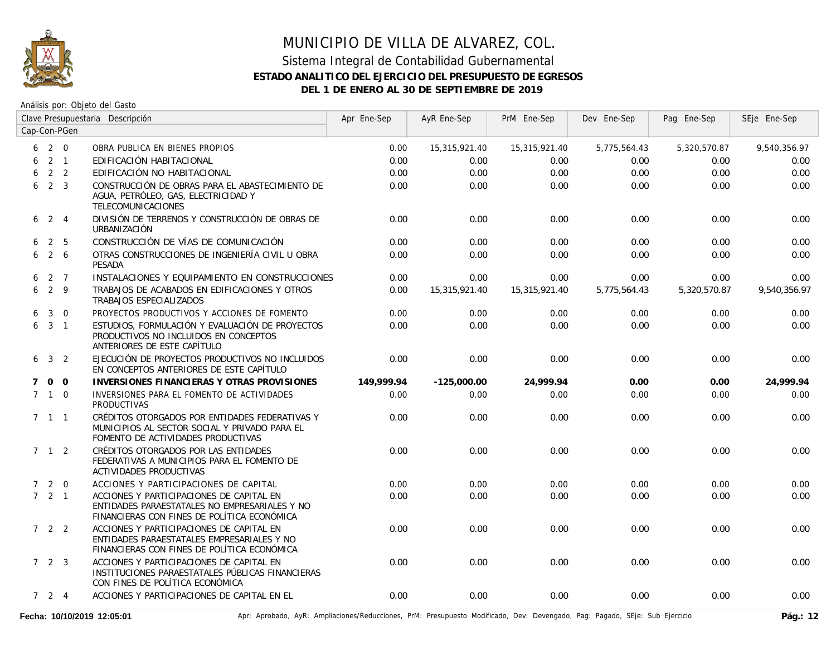

### Sistema Integral de Contabilidad Gubernamental **ESTADO ANALITICO DEL EJERCICIO DEL PRESUPUESTO DE EGRESOS DEL 1 DE ENERO AL 30 DE SEPTIEMBRE DE 2019**

Análisis por: Objeto del Gasto

|             | Clave Presupuestaria Descripción |                | Apr Ene-Sep                                                                                                                              | AyR Ene-Sep | PrM Ene-Sep   | Dev Ene-Sep   | Pag Ene-Sep  | SEje Ene-Sep |              |
|-------------|----------------------------------|----------------|------------------------------------------------------------------------------------------------------------------------------------------|-------------|---------------|---------------|--------------|--------------|--------------|
|             |                                  | Cap-Con-PGen   |                                                                                                                                          |             |               |               |              |              |              |
| 6           | 2 0                              |                | OBRA PUBLICA EN BIENES PROPIOS                                                                                                           | 0.00        | 15,315,921.40 | 15,315,921.40 | 5,775,564.43 | 5,320,570.87 | 9,540,356.97 |
| 6           |                                  | $2 \quad 1$    | EDIFICACIÓN HABITACIONAL                                                                                                                 | 0.00        | 0.00          | 0.00          | 0.00         | 0.00         | 0.00         |
| 6           |                                  | 2 <sub>2</sub> | EDIFICACIÓN NO HABITACIONAL                                                                                                              | 0.00        | 0.00          | 0.00          | 0.00         | 0.00         | 0.00         |
| 6           | 2 <sup>3</sup>                   |                | CONSTRUCCIÓN DE OBRAS PARA EL ABASTECIMIENTO DE<br>AGUA, PETRÓLEO, GAS, ELECTRICIDAD Y<br>TELECOMUNICACIONES                             | 0.00        | 0.00          | 0.00          | 0.00         | 0.00         | 0.00         |
| 6           | $2 \quad 4$                      |                | DIVISIÓN DE TERRENOS Y CONSTRUCCIÓN DE OBRAS DE<br><b>URBANIZACIÓN</b>                                                                   | 0.00        | 0.00          | 0.00          | 0.00         | 0.00         | 0.00         |
| 6.          | 2 5                              |                | CONSTRUCCIÓN DE VÍAS DE COMUNICACIÓN                                                                                                     | 0.00        | 0.00          | 0.00          | 0.00         | 0.00         | 0.00         |
| 6           | $2\overline{6}$                  |                | OTRAS CONSTRUCCIONES DE INGENIERÍA CIVIL U OBRA<br><b>PESADA</b>                                                                         | 0.00        | 0.00          | 0.00          | 0.00         | 0.00         | 0.00         |
| 6           | 2 7                              |                | INSTALACIONES Y EQUIPAMIENTO EN CONSTRUCCIONES                                                                                           | 0.00        | 0.00          | 0.00          | 0.00         | 0.00         | 0.00         |
| 6           | $2 \quad 9$                      |                | TRABAJOS DE ACABADOS EN EDIFICACIONES Y OTROS<br>TRABAJOS ESPECIALIZADOS                                                                 | 0.00        | 15,315,921.40 | 15,315,921.40 | 5,775,564.43 | 5,320,570.87 | 9,540,356.97 |
| 6           | $\mathbf{3}$                     | $\overline{0}$ | PROYECTOS PRODUCTIVOS Y ACCIONES DE FOMENTO                                                                                              | 0.00        | 0.00          | 0.00          | 0.00         | 0.00         | 0.00         |
|             | $6\quad 3\quad 1$                |                | ESTUDIOS, FORMULACIÓN Y EVALUACIÓN DE PROYECTOS<br>PRODUCTIVOS NO INCLUIDOS EN CONCEPTOS<br>ANTERIORES DE ESTE CAPÍTULO                  | 0.00        | 0.00          | 0.00          | 0.00         | 0.00         | 0.00         |
|             | $6\quad 3\quad 2$                |                | EJECUCIÓN DE PROYECTOS PRODUCTIVOS NO INCLUIDOS<br>EN CONCEPTOS ANTERIORES DE ESTE CAPÍTULO                                              | 0.00        | 0.00          | 0.00          | 0.00         | 0.00         | 0.00         |
| $7^{\circ}$ | 0 <sub>0</sub>                   |                | INVERSIONES FINANCIERAS Y OTRAS PROVISIONES                                                                                              | 149,999.94  | $-125,000.00$ | 24,999.94     | 0.00         | 0.00         | 24,999.94    |
|             | $7 \quad 1 \quad 0$              |                | INVERSIONES PARA EL FOMENTO DE ACTIVIDADES<br><b>PRODUCTIVAS</b>                                                                         | 0.00        | 0.00          | 0.00          | 0.00         | 0.00         | 0.00         |
|             | $7 \t1 \t1$                      |                | CRÉDITOS OTORGADOS POR ENTIDADES FEDERATIVAS Y<br>MUNICIPIOS AL SECTOR SOCIAL Y PRIVADO PARA EL<br>FOMENTO DE ACTIVIDADES PRODUCTIVAS    | 0.00        | 0.00          | 0.00          | 0.00         | 0.00         | 0.00         |
|             | $7 \quad 1 \quad 2$              |                | CRÉDITOS OTORGADOS POR LAS ENTIDADES<br>FEDERATIVAS A MUNICIPIOS PARA EL FOMENTO DE<br>ACTIVIDADES PRODUCTIVAS                           | 0.00        | 0.00          | 0.00          | 0.00         | 0.00         | 0.00         |
|             | $7 2 0$                          |                | ACCIONES Y PARTICIPACIONES DE CAPITAL                                                                                                    | 0.00        | 0.00          | 0.00          | 0.00         | 0.00         | 0.00         |
|             | $7 \quad 2 \quad 1$              |                | ACCIONES Y PARTICIPACIONES DE CAPITAL EN<br>ENTIDADES PARAESTATALES NO EMPRESARIALES Y NO<br>FINANCIERAS CON FINES DE POLÍTICA ECONÓMICA | 0.00        | 0.00          | 0.00          | 0.00         | 0.00         | 0.00         |
|             | $722$                            |                | ACCIONES Y PARTICIPACIONES DE CAPITAL EN<br>ENTIDADES PARAESTATALES EMPRESARIALES Y NO<br>FINANCIERAS CON FINES DE POLÍTICA ECONÓMICA    | 0.00        | 0.00          | 0.00          | 0.00         | 0.00         | 0.00         |
|             | 723                              |                | ACCIONES Y PARTICIPACIONES DE CAPITAL EN<br>INSTITUCIONES PARAESTATALES PÚBLICAS FINANCIERAS<br>CON FINES DE POLÍTICA ECONÓMICA          | 0.00        | 0.00          | 0.00          | 0.00         | 0.00         | 0.00         |
|             | 724                              |                | ACCIONES Y PARTICIPACIONES DE CAPITAL EN EL                                                                                              | 0.00        | 0.00          | 0.00          | 0.00         | 0.00         | 0.00         |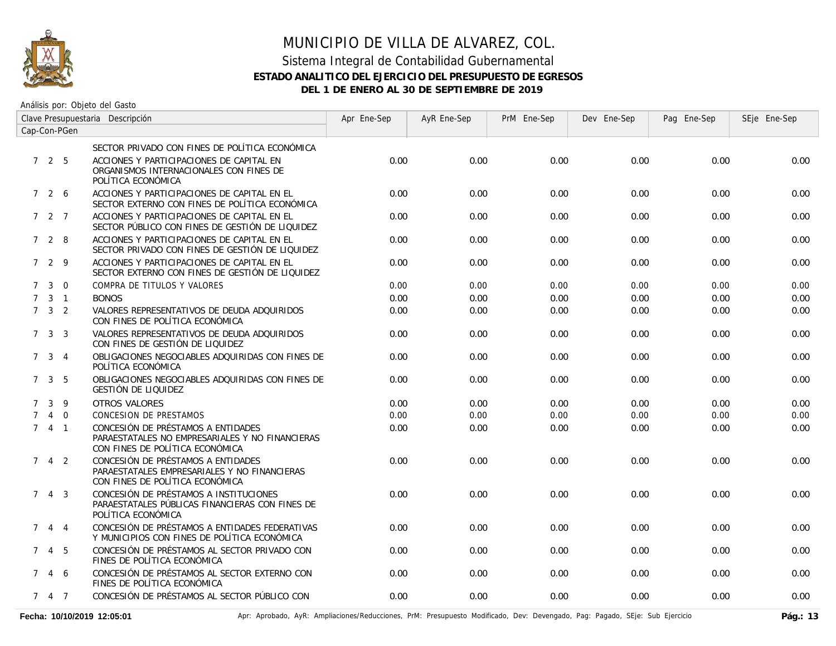

### Sistema Integral de Contabilidad Gubernamental **ESTADO ANALITICO DEL EJERCICIO DEL PRESUPUESTO DE EGRESOS DEL 1 DE ENERO AL 30 DE SEPTIEMBRE DE 2019**

Análisis por: Objeto del Gasto

| Clave Presupuestaria Descripción |                     |                |                                                                                                                          | Apr Ene-Sep | AyR Ene-Sep | PrM Ene-Sep | Dev Ene-Sep | Pag Ene-Sep | SEje Ene-Sep |
|----------------------------------|---------------------|----------------|--------------------------------------------------------------------------------------------------------------------------|-------------|-------------|-------------|-------------|-------------|--------------|
| Cap-Con-PGen                     |                     |                |                                                                                                                          |             |             |             |             |             |              |
|                                  |                     |                | SECTOR PRIVADO CON FINES DE POLÍTICA ECONÓMICA                                                                           |             |             |             |             |             |              |
|                                  | 725                 |                | ACCIONES Y PARTICIPACIONES DE CAPITAL EN<br>ORGANISMOS INTERNACIONALES CON FINES DE<br>POLÍTICA ECONÓMICA                | 0.00        | 0.00        | 0.00        | 0.00        | 0.00        | 0.00         |
|                                  | 7 2 6               |                | ACCIONES Y PARTICIPACIONES DE CAPITAL EN EL<br>SECTOR EXTERNO CON FINES DE POLÍTICA ECONÓMICA                            | 0.00        | 0.00        | 0.00        | 0.00        | 0.00        | 0.00         |
|                                  | 7 2 7               |                | ACCIONES Y PARTICIPACIONES DE CAPITAL EN EL<br>SECTOR PÚBLICO CON FINES DE GESTIÓN DE LIQUIDEZ                           | 0.00        | 0.00        | 0.00        | 0.00        | 0.00        | 0.00         |
|                                  | 728                 |                | ACCIONES Y PARTICIPACIONES DE CAPITAL EN EL<br>SECTOR PRIVADO CON FINES DE GESTIÓN DE LIQUIDEZ                           | 0.00        | 0.00        | 0.00        | 0.00        | 0.00        | 0.00         |
|                                  | 7 2 9               |                | ACCIONES Y PARTICIPACIONES DE CAPITAL EN EL<br>SECTOR EXTERNO CON FINES DE GESTIÓN DE LIQUIDEZ                           | 0.00        | 0.00        | 0.00        | 0.00        | 0.00        | 0.00         |
| $7^{\circ}$                      | $\mathbf{3}$        | $\Omega$       | COMPRA DE TITULOS Y VALORES                                                                                              | 0.00        | 0.00        | 0.00        | 0.00        | 0.00        | 0.00         |
| $7^{\circ}$                      |                     | $3 \quad 1$    | <b>BONOS</b>                                                                                                             | 0.00        | 0.00        | 0.00        | 0.00        | 0.00        | 0.00         |
|                                  | $7 \quad 3 \quad 2$ |                | VALORES REPRESENTATIVOS DE DEUDA ADQUIRIDOS<br>CON FINES DE POLÍTICA ECONÓMICA                                           | 0.00        | 0.00        | 0.00        | 0.00        | 0.00        | 0.00         |
|                                  | $7 \quad 3 \quad 3$ |                | VALORES REPRESENTATIVOS DE DEUDA ADQUIRIDOS<br>CON FINES DE GESTIÓN DE LIQUIDEZ                                          | 0.00        | 0.00        | 0.00        | 0.00        | 0.00        | 0.00         |
|                                  | 7 <sup>3</sup>      | $\overline{4}$ | OBLIGACIONES NEGOCIABLES ADQUIRIDAS CON FINES DE<br>POLÍTICA ECONÓMICA                                                   | 0.00        | 0.00        | 0.00        | 0.00        | 0.00        | 0.00         |
|                                  | $7 \quad 3 \quad 5$ |                | OBLIGACIONES NEGOCIABLES ADOUIRIDAS CON FINES DE<br>GESTIÓN DE LIQUIDEZ                                                  | 0.00        | 0.00        | 0.00        | 0.00        | 0.00        | 0.00         |
| $7^{\circ}$                      | $\mathbf{3}$        | - 9            | OTROS VALORES                                                                                                            | 0.00        | 0.00        | 0.00        | 0.00        | 0.00        | 0.00         |
|                                  |                     | $4\quad 0$     | <b>CONCESION DE PRESTAMOS</b>                                                                                            | 0.00        | 0.00        | 0.00        | 0.00        | 0.00        | 0.00         |
|                                  | 741                 |                | CONCESIÓN DE PRÉSTAMOS A ENTIDADES<br>PARAESTATALES NO EMPRESARIALES Y NO FINANCIERAS<br>CON FINES DE POLÍTICA ECONÓMICA | 0.00        | 0.00        | 0.00        | 0.00        | 0.00        | 0.00         |
| $7^{\circ}$                      |                     | $4\quad 2$     | CONCESIÓN DE PRÉSTAMOS A ENTIDADES<br>PARAESTATALES EMPRESARIALES Y NO FINANCIERAS<br>CON FINES DE POLÍTICA ECONÓMICA    | 0.00        | 0.00        | 0.00        | 0.00        | 0.00        | 0.00         |
|                                  | $7 \t4 \t3$         |                | CONCESIÓN DE PRÉSTAMOS A INSTITUCIONES<br>PARAESTATALES PÚBLICAS FINANCIERAS CON FINES DE<br>POLÍTICA ECONÓMICA          | 0.00        | 0.00        | 0.00        | 0.00        | 0.00        | 0.00         |
| $7^{\circ}$                      |                     | 4 4            | CONCESIÓN DE PRÉSTAMOS A ENTIDADES FEDERATIVAS<br>Y MUNICIPIOS CON FINES DE POLÍTICA ECONÓMICA                           | 0.00        | 0.00        | 0.00        | 0.00        | 0.00        | 0.00         |
|                                  | 745                 |                | CONCESIÓN DE PRÉSTAMOS AL SECTOR PRIVADO CON<br>FINES DE POLÍTICA ECONÓMICA                                              | 0.00        | 0.00        | 0.00        | 0.00        | 0.00        | 0.00         |
|                                  | 7 4 6               |                | CONCESIÓN DE PRÉSTAMOS AL SECTOR EXTERNO CON<br>FINES DE POLÍTICA ECONÓMICA                                              | 0.00        | 0.00        | 0.00        | 0.00        | 0.00        | 0.00         |
|                                  | 7 4 7               |                | CONCESIÓN DE PRÉSTAMOS AL SECTOR PÚBLICO CON                                                                             | 0.00        | 0.00        | 0.00        | 0.00        | 0.00        | 0.00         |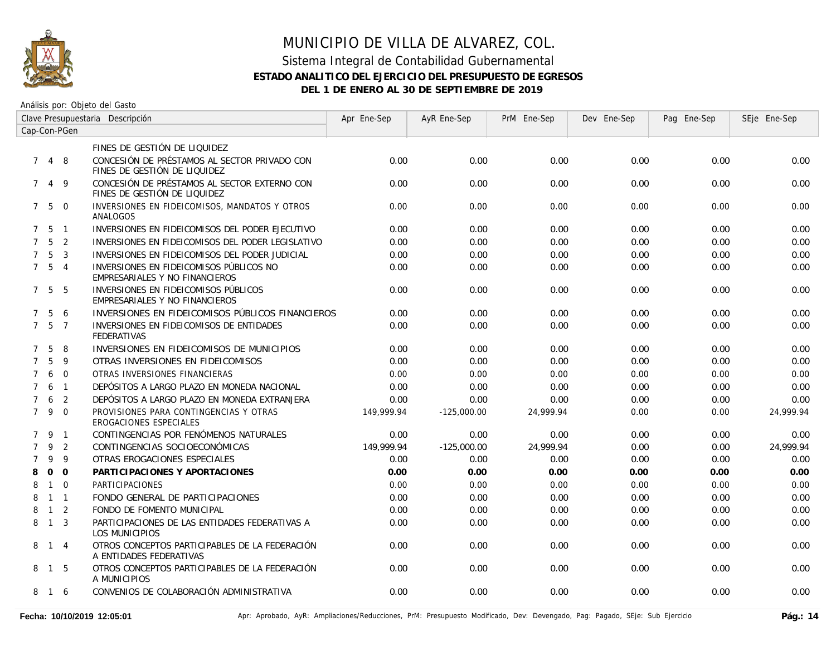

### Sistema Integral de Contabilidad Gubernamental **ESTADO ANALITICO DEL EJERCICIO DEL PRESUPUESTO DE EGRESOS DEL 1 DE ENERO AL 30 DE SEPTIEMBRE DE 2019**

| Clave Presupuestaria Descripción |                   |                |                                                                              | Apr Ene-Sep | AyR Ene-Sep   | PrM Ene-Sep | Dev Ene-Sep | Pag Ene-Sep | SEje Ene-Sep |
|----------------------------------|-------------------|----------------|------------------------------------------------------------------------------|-------------|---------------|-------------|-------------|-------------|--------------|
| Cap-Con-PGen                     |                   |                |                                                                              |             |               |             |             |             |              |
|                                  |                   |                | FINES DE GESTIÓN DE LIQUIDEZ                                                 |             |               |             |             |             |              |
| $7^{\circ}$                      | 4 8               |                | CONCESIÓN DE PRÉSTAMOS AL SECTOR PRIVADO CON<br>FINES DE GESTIÓN DE LIQUIDEZ | 0.00        | 0.00          | 0.00        | 0.00        | 0.00        | 0.00         |
| $7^{\circ}$                      | 4                 | -9             | CONCESIÓN DE PRÉSTAMOS AL SECTOR EXTERNO CON<br>FINES DE GESTIÓN DE LIQUIDEZ | 0.00        | 0.00          | 0.00        | 0.00        | 0.00        | 0.00         |
|                                  | $7\quad 5\quad 0$ |                | INVERSIONES EN FIDEICOMISOS, MANDATOS Y OTROS<br>ANALOGOS                    | 0.00        | 0.00          | 0.00        | 0.00        | 0.00        | 0.00         |
| $7^{\circ}$                      | - 5               | $\overline{1}$ | INVERSIONES EN FIDEICOMISOS DEL PODER EJECUTIVO                              | 0.00        | 0.00          | 0.00        | 0.00        | 0.00        | 0.00         |
| $7^{\circ}$                      | $5^{\circ}$       | 2              | INVERSIONES EN FIDEICOMISOS DEL PODER LEGISLATIVO                            | 0.00        | 0.00          | 0.00        | 0.00        | 0.00        | 0.00         |
| $\overline{7}$                   | 5                 | 3              | INVERSIONES EN FIDEICOMISOS DEL PODER JUDICIAL                               | 0.00        | 0.00          | 0.00        | 0.00        | 0.00        | 0.00         |
|                                  | $7\quad 5\quad 4$ |                | INVERSIONES EN FIDEICOMISOS PÚBLICOS NO<br>EMPRESARIALES Y NO FINANCIEROS    | 0.00        | 0.00          | 0.00        | 0.00        | 0.00        | 0.00         |
|                                  | 7 5               | 5              | INVERSIONES EN FIDEICOMISOS PÚBLICOS<br>EMPRESARIALES Y NO FINANCIEROS       | 0.00        | 0.00          | 0.00        | 0.00        | 0.00        | 0.00         |
| $7^{\circ}$                      | 5                 | 6              | INVERSIONES EN FIDEICOMISOS PÚBLICOS FINANCIEROS                             | 0.00        | 0.00          | 0.00        | 0.00        | 0.00        | 0.00         |
|                                  | $7\quad 5\quad 7$ |                | INVERSIONES EN FIDEICOMISOS DE ENTIDADES<br><b>FEDERATIVAS</b>               | 0.00        | 0.00          | 0.00        | 0.00        | 0.00        | 0.00         |
| $7^{\circ}$                      | 5                 | 8              | INVERSIONES EN FIDEICOMISOS DE MUNICIPIOS                                    | 0.00        | 0.00          | 0.00        | 0.00        | 0.00        | 0.00         |
| $\overline{7}$                   | 5                 | 9              | OTRAS INVERSIONES EN FIDEICOMISOS                                            | 0.00        | 0.00          | 0.00        | 0.00        | 0.00        | 0.00         |
| $7^{\circ}$                      | 6                 | $\Omega$       | OTRAS INVERSIONES FINANCIERAS                                                | 0.00        | 0.00          | 0.00        | 0.00        | 0.00        | 0.00         |
| $7^{\circ}$                      | 6                 | $\overline{1}$ | DEPÓSITOS A LARGO PLAZO EN MONEDA NACIONAL                                   | 0.00        | 0.00          | 0.00        | 0.00        | 0.00        | 0.00         |
| $7^{\circ}$                      | 6                 | 2              | DEPÓSITOS A LARGO PLAZO EN MONEDA EXTRANJERA                                 | 0.00        | 0.00          | 0.00        | 0.00        | 0.00        | 0.00         |
| 7 <sup>7</sup>                   | 9                 | $\overline{0}$ | PROVISIONES PARA CONTINGENCIAS Y OTRAS<br>EROGACIONES ESPECIALES             | 149,999.94  | $-125,000.00$ | 24,999.94   | 0.00        | 0.00        | 24,999.94    |
|                                  | 791               |                | CONTINGENCIAS POR FENÓMENOS NATURALES                                        | 0.00        | 0.00          | 0.00        | 0.00        | 0.00        | 0.00         |
| $\overline{7}$                   | 9                 | 2              | CONTINGENCIAS SOCIOECONÓMICAS                                                | 149.999.94  | $-125,000.00$ | 24.999.94   | 0.00        | 0.00        | 24.999.94    |
| $\overline{7}$                   | 9                 | 9              | OTRAS EROGACIONES ESPECIALES                                                 | 0.00        | 0.00          | 0.00        | 0.00        | 0.00        | 0.00         |
| 8                                | $\Omega$          | $\Omega$       | PARTICIPACIONES Y APORTACIONES                                               | 0.00        | 0.00          | 0.00        | 0.00        | 0.00        | 0.00         |
| 8                                | $\overline{1}$    | $\Omega$       | <b>PARTICIPACIONES</b>                                                       | 0.00        | 0.00          | 0.00        | 0.00        | 0.00        | 0.00         |
| 8                                | $1 \quad 1$       |                | FONDO GENERAL DE PARTICIPACIONES                                             | 0.00        | 0.00          | 0.00        | 0.00        | 0.00        | 0.00         |
| 8                                | $\overline{1}$    | 2              | FONDO DE FOMENTO MUNICIPAL                                                   | 0.00        | 0.00          | 0.00        | 0.00        | 0.00        | 0.00         |
| 8                                | $\overline{1}$    | $\overline{3}$ | PARTICIPACIONES DE LAS ENTIDADES FEDERATIVAS A<br>LOS MUNICIPIOS             | 0.00        | 0.00          | 0.00        | 0.00        | 0.00        | 0.00         |
|                                  | 8 1 4             |                | OTROS CONCEPTOS PARTICIPABLES DE LA FEDERACIÓN<br>A ENTIDADES FEDERATIVAS    | 0.00        | 0.00          | 0.00        | 0.00        | 0.00        | 0.00         |
|                                  | 8 1               | -5             | OTROS CONCEPTOS PARTICIPABLES DE LA FEDERACIÓN<br>A MUNICIPIOS               | 0.00        | 0.00          | 0.00        | 0.00        | 0.00        | 0.00         |
| 8                                | 16                |                | CONVENIOS DE COLABORACIÓN ADMINISTRATIVA                                     | 0.00        | 0.00          | 0.00        | 0.00        | 0.00        | 0.00         |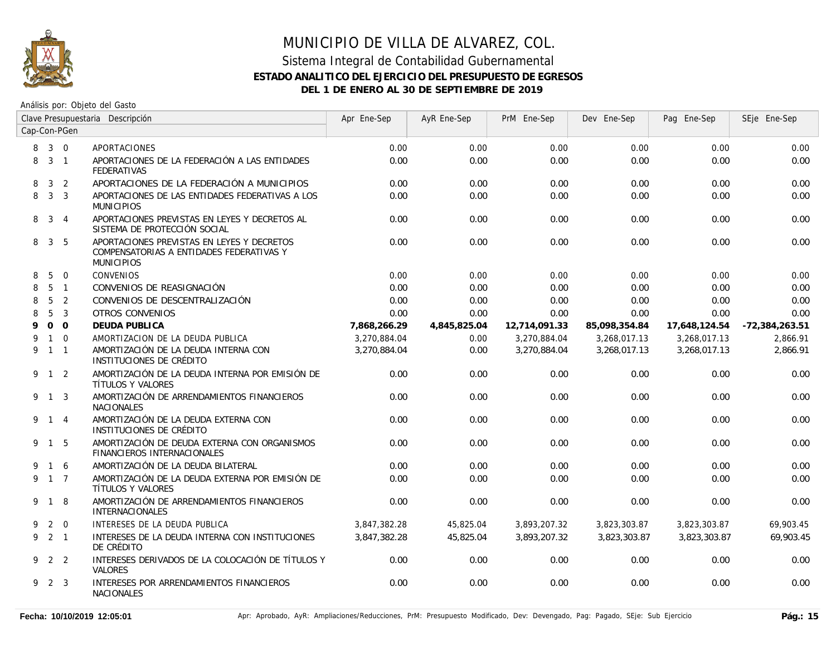

### Sistema Integral de Contabilidad Gubernamental **ESTADO ANALITICO DEL EJERCICIO DEL PRESUPUESTO DE EGRESOS DEL 1 DE ENERO AL 30 DE SEPTIEMBRE DE 2019**

| Clave Presupuestaria Descripción |                     |                |                                                                                                             | Apr Ene-Sep  | AyR Ene-Sep  | PrM Ene-Sep   | Dev Ene-Sep   | Pag Ene-Sep   | SEje Ene-Sep     |
|----------------------------------|---------------------|----------------|-------------------------------------------------------------------------------------------------------------|--------------|--------------|---------------|---------------|---------------|------------------|
| Cap-Con-PGen                     |                     |                |                                                                                                             |              |              |               |               |               |                  |
| 8                                | $3 \quad 0$         |                | APORTACIONES                                                                                                | 0.00         | 0.00         | 0.00          | 0.00          | 0.00          | 0.00             |
| 8                                | 3 <sub>1</sub>      |                | APORTACIONES DE LA FEDERACIÓN A LAS ENTIDADES<br><b>FEDERATIVAS</b>                                         | 0.00         | 0.00         | 0.00          | 0.00          | 0.00          | 0.00             |
| 8                                | 3 <sup>1</sup>      | $\overline{2}$ | APORTACIONES DE LA FEDERACIÓN A MUNICIPIOS                                                                  | 0.00         | 0.00         | 0.00          | 0.00          | 0.00          | 0.00             |
| 8                                |                     | 3 <sup>3</sup> | APORTACIONES DE LAS ENTIDADES FEDERATIVAS A LOS<br><b>MUNICIPIOS</b>                                        | 0.00         | 0.00         | 0.00          | 0.00          | 0.00          | 0.00             |
| 8                                | 3 4                 |                | APORTACIONES PREVISTAS EN LEYES Y DECRETOS AL<br>SISTEMA DE PROTECCIÓN SOCIAL                               | 0.00         | 0.00         | 0.00          | 0.00          | 0.00          | 0.00             |
| 8                                | 3 <sub>5</sub>      |                | APORTACIONES PREVISTAS EN LEYES Y DECRETOS<br>COMPENSATORIAS A ENTIDADES FEDERATIVAS Y<br><b>MUNICIPIOS</b> | 0.00         | 0.00         | 0.00          | 0.00          | 0.00          | 0.00             |
| 8                                | 5                   | $\overline{0}$ | CONVENIOS                                                                                                   | 0.00         | 0.00         | 0.00          | 0.00          | 0.00          | 0.00             |
| 8                                |                     | 5 <sub>1</sub> | CONVENIOS DE REASIGNACIÓN                                                                                   | 0.00         | 0.00         | 0.00          | 0.00          | 0.00          | 0.00             |
| 8                                | $5\phantom{.0}$     | $\overline{2}$ | CONVENIOS DE DESCENTRALIZACIÓN                                                                              | 0.00         | 0.00         | 0.00          | 0.00          | 0.00          | 0.00             |
| 8                                | 5                   | $\overline{3}$ | <b>OTROS CONVENIOS</b>                                                                                      | 0.00         | 0.00         | 0.00          | 0.00          | 0.00          | 0.00             |
| 9                                |                     | 0 <sub>0</sub> | <b>DEUDA PUBLICA</b>                                                                                        | 7,868,266.29 | 4,845,825.04 | 12,714,091.33 | 85,098,354.84 | 17,648,124.54 | $-72,384,263.51$ |
| 9                                |                     | $1 \quad 0$    | AMORTIZACION DE LA DEUDA PUBLICA                                                                            | 3,270,884.04 | 0.00         | 3,270,884.04  | 3,268,017.13  | 3,268,017.13  | 2.866.91         |
| 9                                |                     | $1 \quad 1$    | AMORTIZACIÓN DE LA DEUDA INTERNA CON<br>INSTITUCIONES DE CRÉDITO                                            | 3,270,884.04 | 0.00         | 3,270,884.04  | 3,268,017.13  | 3,268,017.13  | 2,866.91         |
|                                  | $9 \quad 1 \quad 2$ |                | AMORTIZACIÓN DE LA DEUDA INTERNA POR EMISIÓN DE<br>TÍTULOS Y VALORES                                        | 0.00         | 0.00         | 0.00          | 0.00          | 0.00          | 0.00             |
|                                  | 9 1 3               |                | AMORTIZACIÓN DE ARRENDAMIENTOS FINANCIEROS<br><b>NACIONALES</b>                                             | 0.00         | 0.00         | 0.00          | 0.00          | 0.00          | 0.00             |
|                                  | 9 1 4               |                | AMORTIZACIÓN DE LA DEUDA EXTERNA CON<br>INSTITUCIONES DE CRÉDITO                                            | 0.00         | 0.00         | 0.00          | 0.00          | 0.00          | 0.00             |
|                                  | 9 1 5               |                | AMORTIZACIÓN DE DEUDA EXTERNA CON ORGANISMOS<br>FINANCIEROS INTERNACIONALES                                 | 0.00         | 0.00         | 0.00          | 0.00          | 0.00          | 0.00             |
|                                  | 1 6                 |                | AMORTIZACIÓN DE LA DEUDA BILATERAL                                                                          | 0.00         | 0.00         | 0.00          | 0.00          | 0.00          | 0.00             |
|                                  | 9 1 7               |                | AMORTIZACIÓN DE LA DEUDA EXTERNA POR EMISIÓN DE<br>TÍTULOS Y VALORES                                        | 0.00         | 0.00         | 0.00          | 0.00          | 0.00          | 0.00             |
|                                  | 9 1 8               |                | AMORTIZACIÓN DE ARRENDAMIENTOS FINANCIEROS<br>INTERNACIONALES                                               | 0.00         | 0.00         | 0.00          | 0.00          | 0.00          | 0.00             |
| 9                                |                     | $2 \quad 0$    | INTERESES DE LA DEUDA PUBLICA                                                                               | 3,847,382.28 | 45,825.04    | 3,893,207.32  | 3,823,303.87  | 3,823,303.87  | 69,903.45        |
|                                  | 9 2 1               |                | INTERESES DE LA DEUDA INTERNA CON INSTITUCIONES<br>DE CRÉDITO                                               | 3,847,382.28 | 45,825.04    | 3,893,207.32  | 3,823,303.87  | 3,823,303.87  | 69,903.45        |
|                                  | 9 2 2               |                | INTERESES DERIVADOS DE LA COLOCACIÓN DE TÍTULOS Y<br>VALORES                                                | 0.00         | 0.00         | 0.00          | 0.00          | 0.00          | 0.00             |
|                                  | 9 2 3               |                | INTERESES POR ARRENDAMIENTOS FINANCIEROS<br><b>NACIONALES</b>                                               | 0.00         | 0.00         | 0.00          | 0.00          | 0.00          | 0.00             |